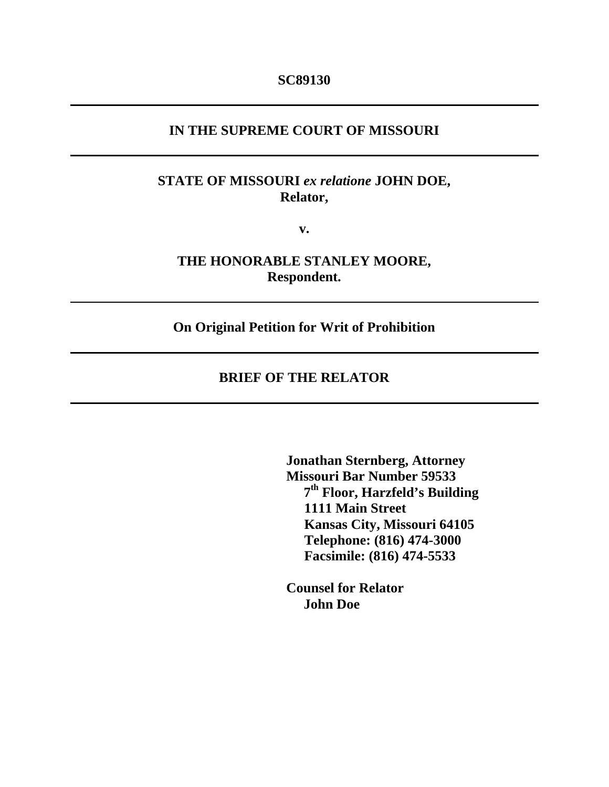#### **IN THE SUPREME COURT OF MISSOURI**

## **STATE OF MISSOURI** *ex relatione* **JOHN DOE, Relator,**

**v.** 

**THE HONORABLE STANLEY MOORE, Respondent.** 

**On Original Petition for Writ of Prohibition** 

### **BRIEF OF THE RELATOR**

 **Jonathan Sternberg, Attorney Missouri Bar Number 59533 7th Floor, Harzfeld's Building 1111 Main Street Kansas City, Missouri 64105 Telephone: (816) 474-3000 Facsimile: (816) 474-5533** 

 **Counsel for Relator John Doe**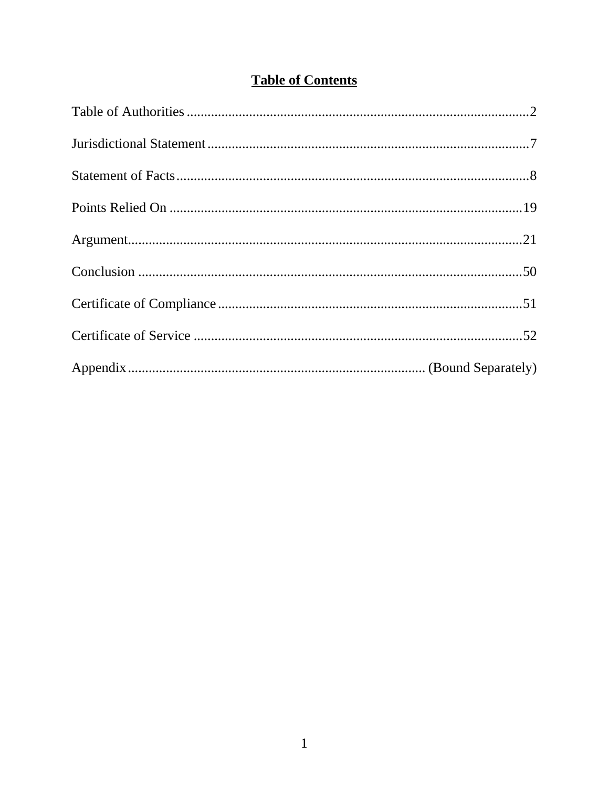# **Table of Contents**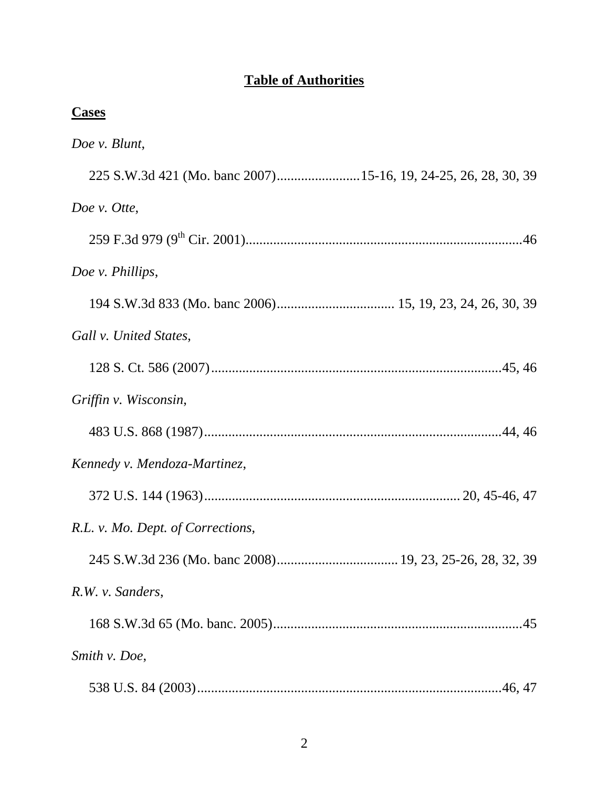## **Table of Authorities**

| <b>Cases</b>                      |
|-----------------------------------|
| Doe v. Blunt,                     |
|                                   |
| Doe v. Otte,                      |
|                                   |
| Doe v. Phillips,                  |
|                                   |
| Gall v. United States,            |
|                                   |
| Griffin v. Wisconsin,             |
|                                   |
| Kennedy v. Mendoza-Martinez,      |
|                                   |
| R.L. v. Mo. Dept. of Corrections, |
|                                   |
| R.W. v. Sanders,                  |
|                                   |
| Smith v. Doe,                     |
|                                   |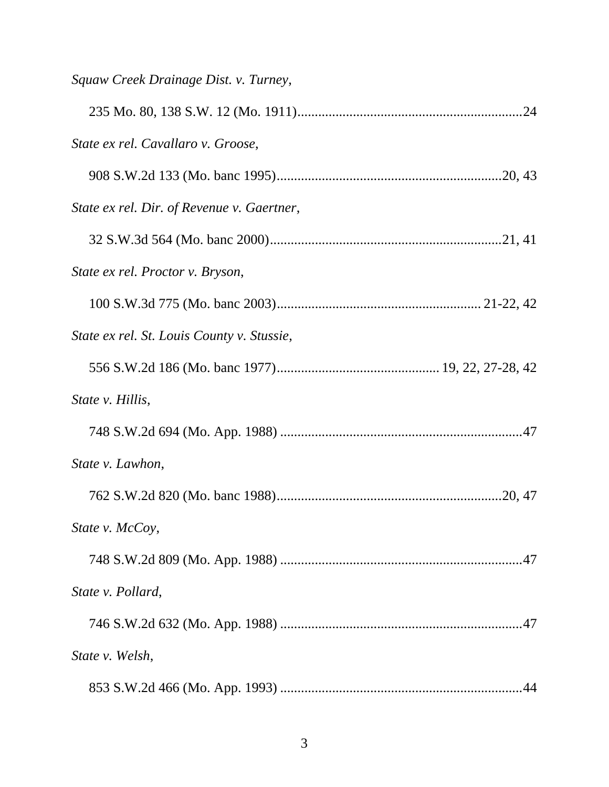| Squaw Creek Drainage Dist. v. Turney,      |
|--------------------------------------------|
|                                            |
| State ex rel. Cavallaro v. Groose,         |
|                                            |
| State ex rel. Dir. of Revenue v. Gaertner, |
|                                            |
| State ex rel. Proctor v. Bryson,           |
|                                            |
| State ex rel. St. Louis County v. Stussie, |
|                                            |
| State v. Hillis,                           |
|                                            |
| State v. Lawhon,                           |
|                                            |
| State v. McCoy,                            |
|                                            |
| State v. Pollard,                          |
|                                            |
| State v. Welsh,                            |
|                                            |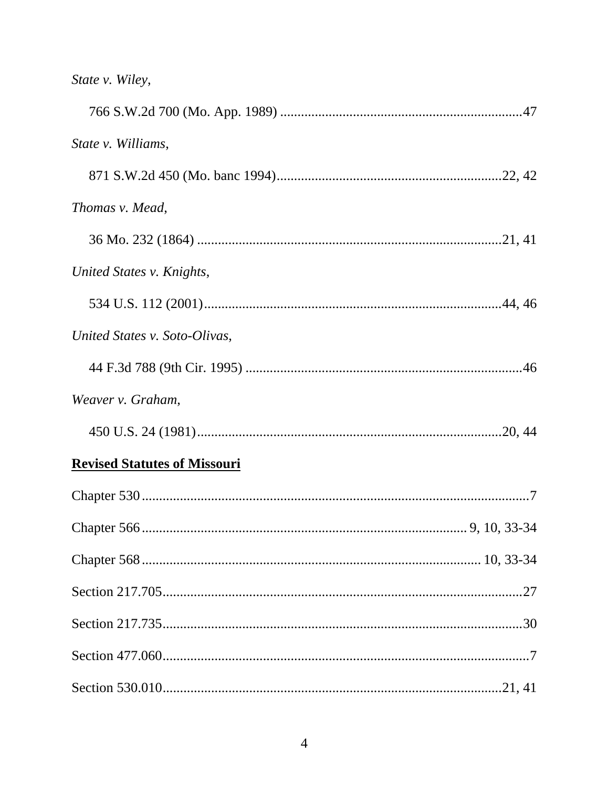| State v. Wiley, |  |
|-----------------|--|
|-----------------|--|

| State v. Williams,                  |
|-------------------------------------|
|                                     |
| Thomas v. Mead,                     |
|                                     |
| United States v. Knights,           |
|                                     |
| United States v. Soto-Olivas,       |
|                                     |
| Weaver v. Graham,                   |
|                                     |
| <b>Revised Statutes of Missouri</b> |
|                                     |
|                                     |
|                                     |
|                                     |
|                                     |
|                                     |
|                                     |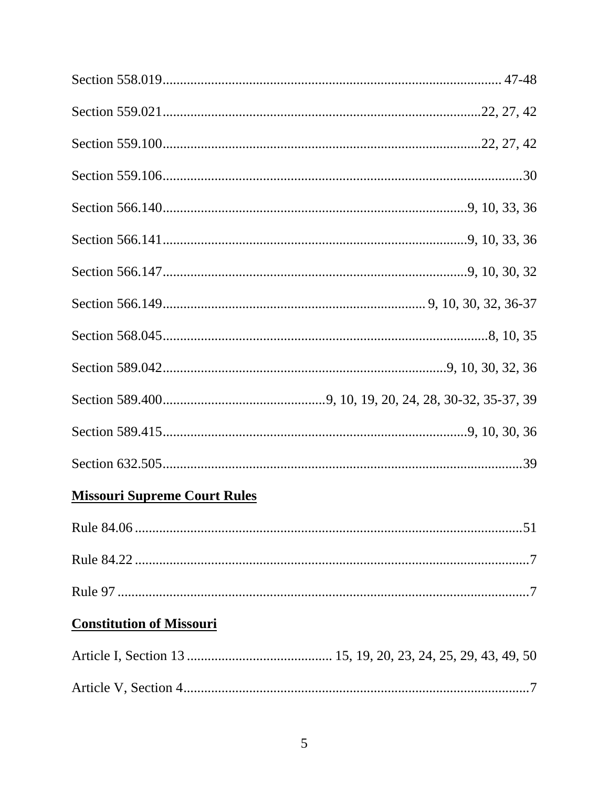# **Missouri Supreme Court Rules**

## **Constitution of Missouri**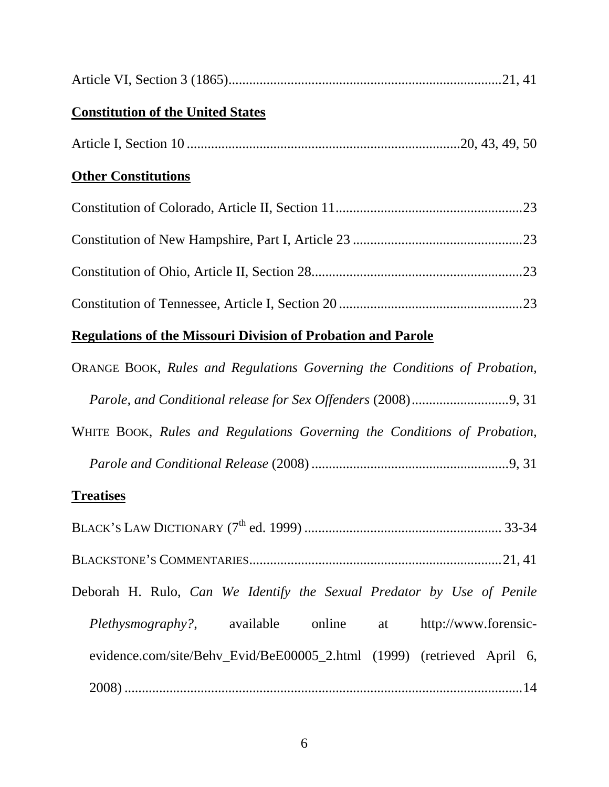| <b>Constitution of the United States</b> |  |
|------------------------------------------|--|
|                                          |  |
| <b>Other Constitutions</b>               |  |
|                                          |  |
|                                          |  |
|                                          |  |
|                                          |  |

# **Regulations of the Missouri Division of Probation and Parole**

| <b>ORANGE BOOK, Rules and Regulations Governing the Conditions of Probation,</b> |
|----------------------------------------------------------------------------------|
|                                                                                  |
| WHITE BOOK, Rules and Regulations Governing the Conditions of Probation,         |
|                                                                                  |

## **Treatises**

| Deborah H. Rulo, Can We Identify the Sexual Predator by Use of Penile  |  |  |  |
|------------------------------------------------------------------------|--|--|--|
| <i>Plethysmography?</i> , available online at http://www.forensic-     |  |  |  |
| evidence.com/site/Behv_Evid/BeE00005_2.html (1999) (retrieved April 6, |  |  |  |
|                                                                        |  |  |  |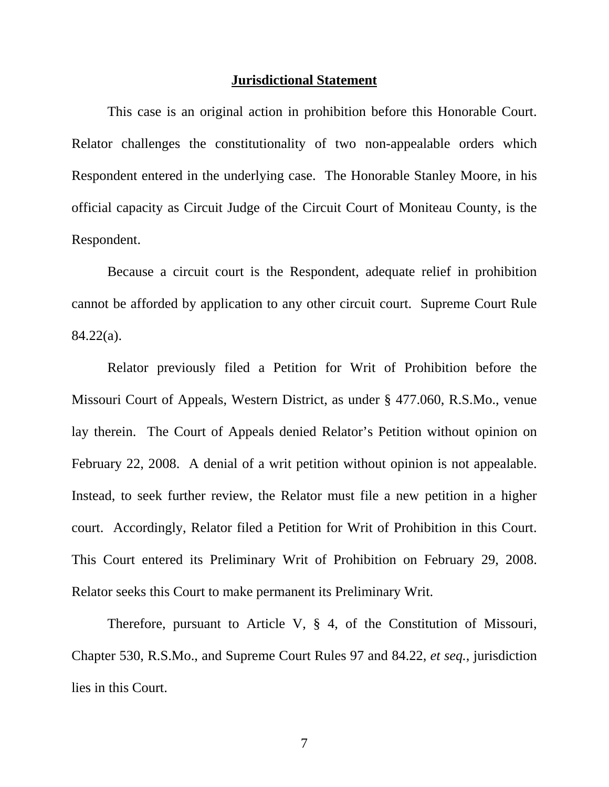#### **Jurisdictional Statement**

 This case is an original action in prohibition before this Honorable Court. Relator challenges the constitutionality of two non-appealable orders which Respondent entered in the underlying case. The Honorable Stanley Moore, in his official capacity as Circuit Judge of the Circuit Court of Moniteau County, is the Respondent.

 Because a circuit court is the Respondent, adequate relief in prohibition cannot be afforded by application to any other circuit court. Supreme Court Rule 84.22(a).

 Relator previously filed a Petition for Writ of Prohibition before the Missouri Court of Appeals, Western District, as under § 477.060, R.S.Mo., venue lay therein. The Court of Appeals denied Relator's Petition without opinion on February 22, 2008. A denial of a writ petition without opinion is not appealable. Instead, to seek further review, the Relator must file a new petition in a higher court. Accordingly, Relator filed a Petition for Writ of Prohibition in this Court. This Court entered its Preliminary Writ of Prohibition on February 29, 2008. Relator seeks this Court to make permanent its Preliminary Writ.

 Therefore, pursuant to Article V, § 4, of the Constitution of Missouri, Chapter 530, R.S.Mo., and Supreme Court Rules 97 and 84.22, *et seq.*, jurisdiction lies in this Court.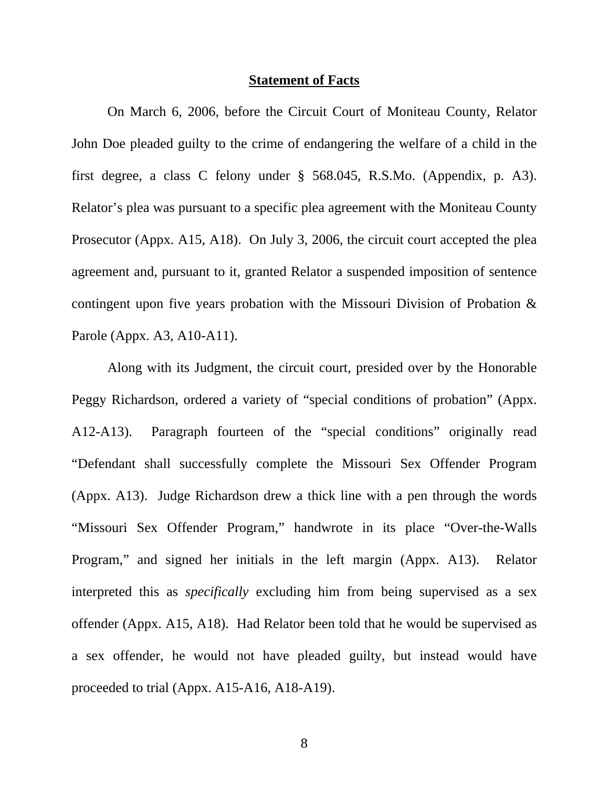#### **Statement of Facts**

 On March 6, 2006, before the Circuit Court of Moniteau County, Relator John Doe pleaded guilty to the crime of endangering the welfare of a child in the first degree, a class C felony under § 568.045, R.S.Mo. (Appendix, p. A3). Relator's plea was pursuant to a specific plea agreement with the Moniteau County Prosecutor (Appx. A15, A18). On July 3, 2006, the circuit court accepted the plea agreement and, pursuant to it, granted Relator a suspended imposition of sentence contingent upon five years probation with the Missouri Division of Probation & Parole (Appx. A3, A10-A11).

Along with its Judgment, the circuit court, presided over by the Honorable Peggy Richardson, ordered a variety of "special conditions of probation" (Appx. A12-A13). Paragraph fourteen of the "special conditions" originally read "Defendant shall successfully complete the Missouri Sex Offender Program (Appx. A13). Judge Richardson drew a thick line with a pen through the words "Missouri Sex Offender Program," handwrote in its place "Over-the-Walls Program," and signed her initials in the left margin (Appx. A13). Relator interpreted this as *specifically* excluding him from being supervised as a sex offender (Appx. A15, A18). Had Relator been told that he would be supervised as a sex offender, he would not have pleaded guilty, but instead would have proceeded to trial (Appx. A15-A16, A18-A19).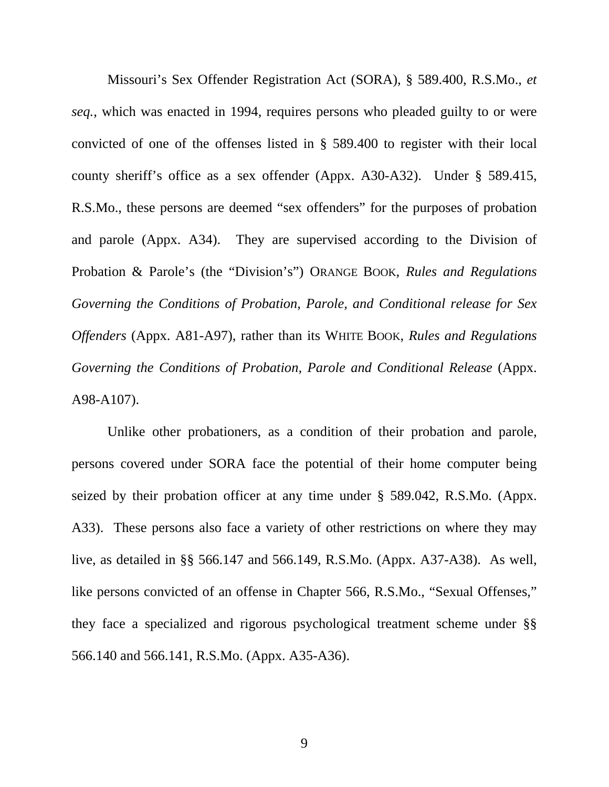Missouri's Sex Offender Registration Act (SORA), § 589.400, R.S.Mo., *et seq.*, which was enacted in 1994, requires persons who pleaded guilty to or were convicted of one of the offenses listed in § 589.400 to register with their local county sheriff's office as a sex offender (Appx. A30-A32). Under § 589.415, R.S.Mo., these persons are deemed "sex offenders" for the purposes of probation and parole (Appx. A34). They are supervised according to the Division of Probation & Parole's (the "Division's") ORANGE BOOK, *Rules and Regulations Governing the Conditions of Probation, Parole, and Conditional release for Sex Offenders* (Appx. A81-A97), rather than its WHITE BOOK, *Rules and Regulations Governing the Conditions of Probation, Parole and Conditional Release* (Appx. A98-A107).

Unlike other probationers, as a condition of their probation and parole, persons covered under SORA face the potential of their home computer being seized by their probation officer at any time under § 589.042, R.S.Mo. (Appx. A33). These persons also face a variety of other restrictions on where they may live, as detailed in §§ 566.147 and 566.149, R.S.Mo. (Appx. A37-A38). As well, like persons convicted of an offense in Chapter 566, R.S.Mo., "Sexual Offenses," they face a specialized and rigorous psychological treatment scheme under §§ 566.140 and 566.141, R.S.Mo. (Appx. A35-A36).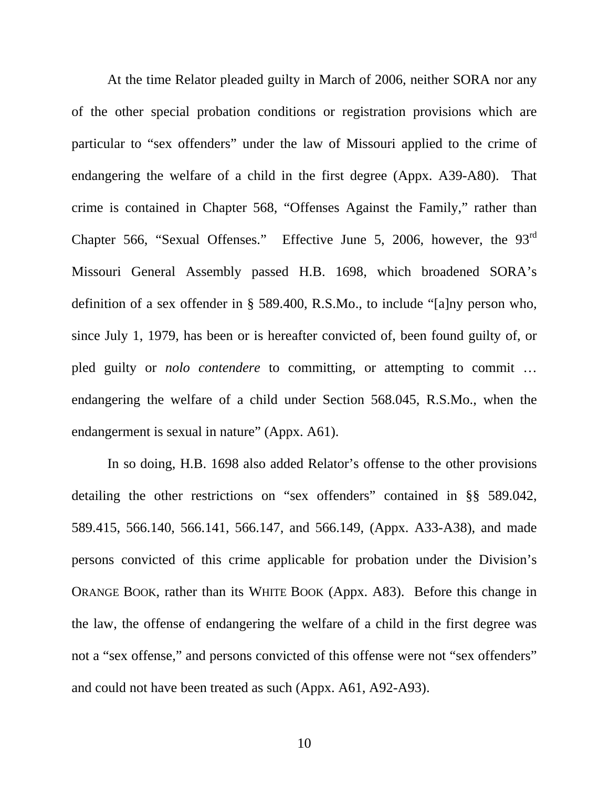At the time Relator pleaded guilty in March of 2006, neither SORA nor any of the other special probation conditions or registration provisions which are particular to "sex offenders" under the law of Missouri applied to the crime of endangering the welfare of a child in the first degree (Appx. A39-A80). That crime is contained in Chapter 568, "Offenses Against the Family," rather than Chapter 566, "Sexual Offenses." Effective June 5, 2006, however, the 93<sup>rd</sup> Missouri General Assembly passed H.B. 1698, which broadened SORA's definition of a sex offender in § 589.400, R.S.Mo., to include "[a]ny person who, since July 1, 1979, has been or is hereafter convicted of, been found guilty of, or pled guilty or *nolo contendere* to committing, or attempting to commit ... endangering the welfare of a child under Section 568.045, R.S.Mo., when the endangerment is sexual in nature" (Appx. A61).

In so doing, H.B. 1698 also added Relator's offense to the other provisions detailing the other restrictions on "sex offenders" contained in §§ 589.042, 589.415, 566.140, 566.141, 566.147, and 566.149, (Appx. A33-A38), and made persons convicted of this crime applicable for probation under the Division's ORANGE BOOK, rather than its WHITE BOOK (Appx. A83). Before this change in the law, the offense of endangering the welfare of a child in the first degree was not a "sex offense," and persons convicted of this offense were not "sex offenders" and could not have been treated as such (Appx. A61, A92-A93).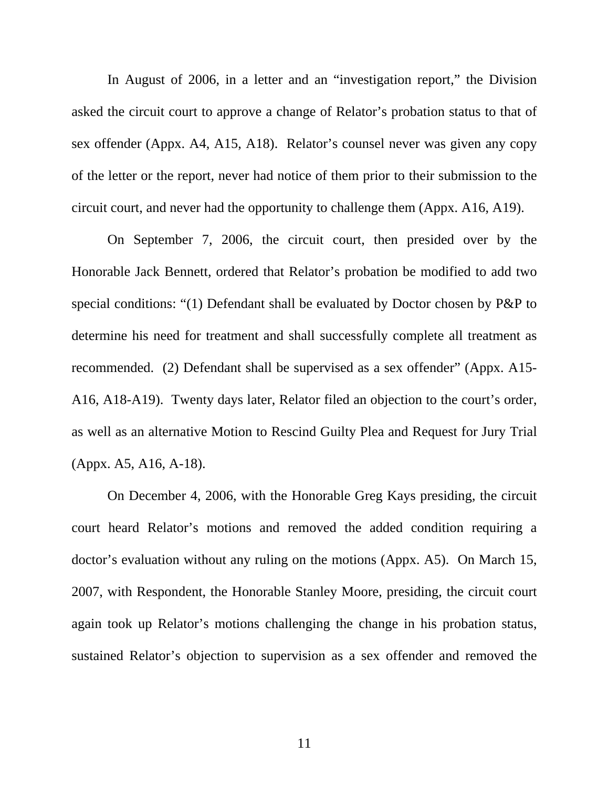In August of 2006, in a letter and an "investigation report," the Division asked the circuit court to approve a change of Relator's probation status to that of sex offender (Appx. A4, A15, A18). Relator's counsel never was given any copy of the letter or the report, never had notice of them prior to their submission to the circuit court, and never had the opportunity to challenge them (Appx. A16, A19).

On September 7, 2006, the circuit court, then presided over by the Honorable Jack Bennett, ordered that Relator's probation be modified to add two special conditions: "(1) Defendant shall be evaluated by Doctor chosen by P&P to determine his need for treatment and shall successfully complete all treatment as recommended. (2) Defendant shall be supervised as a sex offender" (Appx. A15- A16, A18-A19). Twenty days later, Relator filed an objection to the court's order, as well as an alternative Motion to Rescind Guilty Plea and Request for Jury Trial (Appx. A5, A16, A-18).

On December 4, 2006, with the Honorable Greg Kays presiding, the circuit court heard Relator's motions and removed the added condition requiring a doctor's evaluation without any ruling on the motions (Appx. A5). On March 15, 2007, with Respondent, the Honorable Stanley Moore, presiding, the circuit court again took up Relator's motions challenging the change in his probation status, sustained Relator's objection to supervision as a sex offender and removed the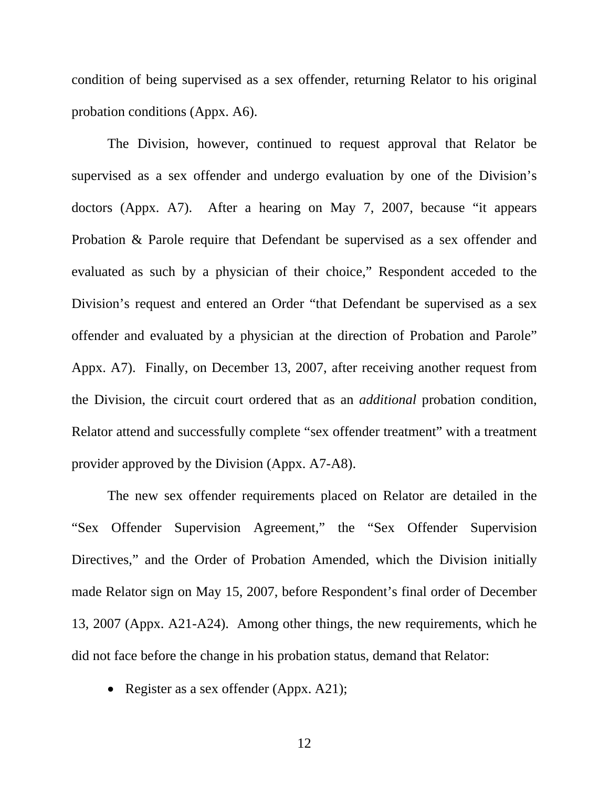condition of being supervised as a sex offender, returning Relator to his original probation conditions (Appx. A6).

The Division, however, continued to request approval that Relator be supervised as a sex offender and undergo evaluation by one of the Division's doctors (Appx. A7). After a hearing on May 7, 2007, because "it appears Probation & Parole require that Defendant be supervised as a sex offender and evaluated as such by a physician of their choice," Respondent acceded to the Division's request and entered an Order "that Defendant be supervised as a sex offender and evaluated by a physician at the direction of Probation and Parole" Appx. A7). Finally, on December 13, 2007, after receiving another request from the Division, the circuit court ordered that as an *additional* probation condition, Relator attend and successfully complete "sex offender treatment" with a treatment provider approved by the Division (Appx. A7-A8).

The new sex offender requirements placed on Relator are detailed in the "Sex Offender Supervision Agreement," the "Sex Offender Supervision Directives," and the Order of Probation Amended, which the Division initially made Relator sign on May 15, 2007, before Respondent's final order of December 13, 2007 (Appx. A21-A24). Among other things, the new requirements, which he did not face before the change in his probation status, demand that Relator:

• Register as a sex offender (Appx. A21);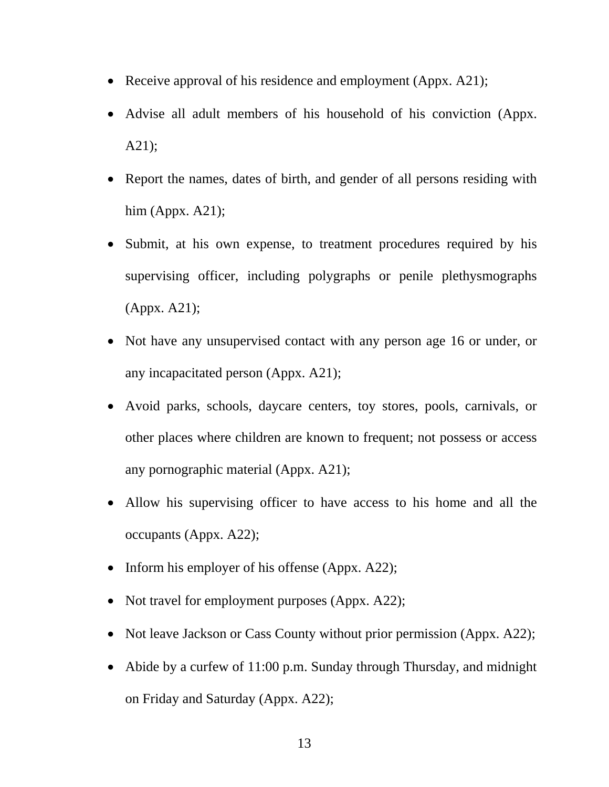- Receive approval of his residence and employment (Appx. A21);
- Advise all adult members of his household of his conviction (Appx. A21);
- Report the names, dates of birth, and gender of all persons residing with him (Appx.  $A21$ );
- Submit, at his own expense, to treatment procedures required by his supervising officer, including polygraphs or penile plethysmographs (Appx. A21);
- Not have any unsupervised contact with any person age 16 or under, or any incapacitated person (Appx. A21);
- Avoid parks, schools, daycare centers, toy stores, pools, carnivals, or other places where children are known to frequent; not possess or access any pornographic material (Appx. A21);
- Allow his supervising officer to have access to his home and all the occupants (Appx. A22);
- Inform his employer of his offense (Appx. A22);
- Not travel for employment purposes (Appx. A22);
- Not leave Jackson or Cass County without prior permission (Appx. A22);
- Abide by a curfew of 11:00 p.m. Sunday through Thursday, and midnight on Friday and Saturday (Appx. A22);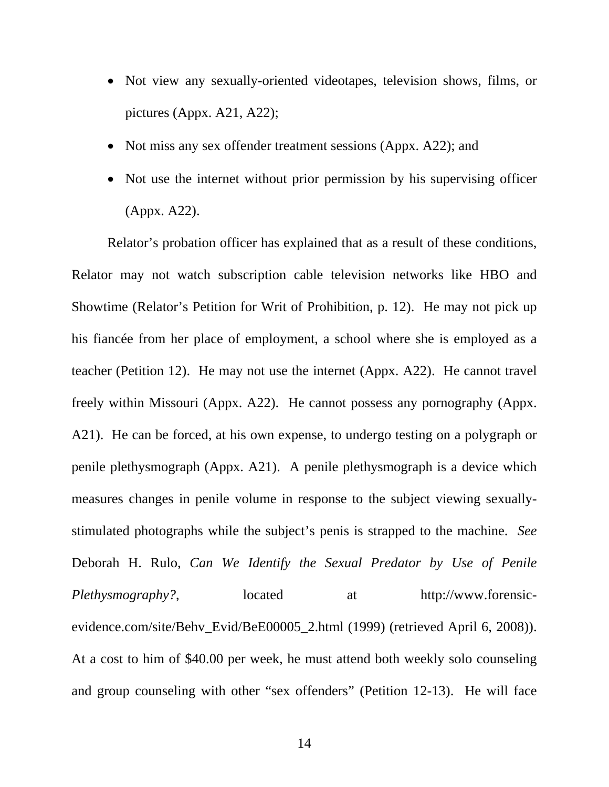- Not view any sexually-oriented videotapes, television shows, films, or pictures (Appx. A21, A22);
- Not miss any sex offender treatment sessions (Appx. A22); and
- Not use the internet without prior permission by his supervising officer (Appx. A22).

Relator's probation officer has explained that as a result of these conditions, Relator may not watch subscription cable television networks like HBO and Showtime (Relator's Petition for Writ of Prohibition, p. 12). He may not pick up his fiancée from her place of employment, a school where she is employed as a teacher (Petition 12). He may not use the internet (Appx. A22). He cannot travel freely within Missouri (Appx. A22). He cannot possess any pornography (Appx. A21). He can be forced, at his own expense, to undergo testing on a polygraph or penile plethysmograph (Appx. A21). A penile plethysmograph is a device which measures changes in penile volume in response to the subject viewing sexuallystimulated photographs while the subject's penis is strapped to the machine. *See* Deborah H. Rulo, *Can We Identify the Sexual Predator by Use of Penile Plethysmography?*, located at http://www.forensicevidence.com/site/Behv\_Evid/BeE00005\_2.html (1999) (retrieved April 6, 2008)). At a cost to him of \$40.00 per week, he must attend both weekly solo counseling and group counseling with other "sex offenders" (Petition 12-13). He will face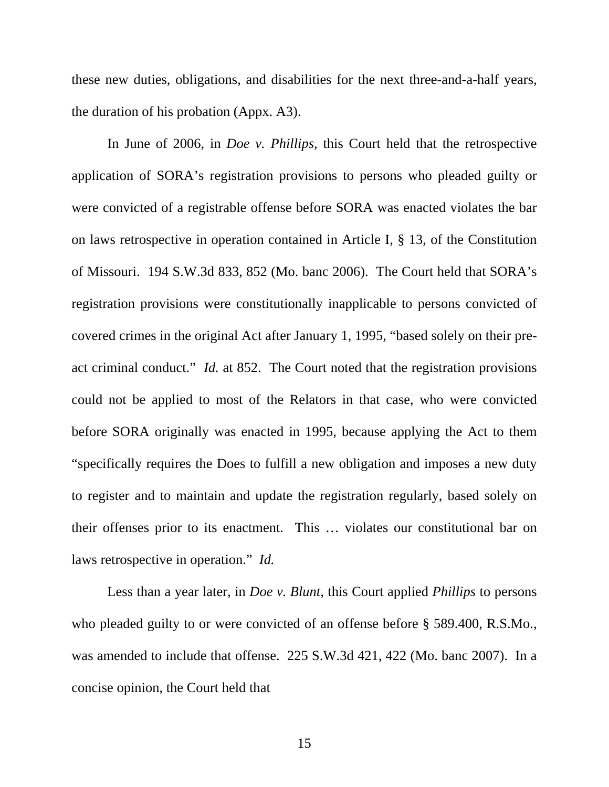these new duties, obligations, and disabilities for the next three-and-a-half years, the duration of his probation (Appx. A3).

In June of 2006, in *Doe v. Phillips*, this Court held that the retrospective application of SORA's registration provisions to persons who pleaded guilty or were convicted of a registrable offense before SORA was enacted violates the bar on laws retrospective in operation contained in Article I, § 13, of the Constitution of Missouri. 194 S.W.3d 833, 852 (Mo. banc 2006). The Court held that SORA's registration provisions were constitutionally inapplicable to persons convicted of covered crimes in the original Act after January 1, 1995, "based solely on their preact criminal conduct." *Id.* at 852. The Court noted that the registration provisions could not be applied to most of the Relators in that case, who were convicted before SORA originally was enacted in 1995, because applying the Act to them "specifically requires the Does to fulfill a new obligation and imposes a new duty to register and to maintain and update the registration regularly, based solely on their offenses prior to its enactment. This … violates our constitutional bar on laws retrospective in operation." *Id.*

Less than a year later, in *Doe v. Blunt*, this Court applied *Phillips* to persons who pleaded guilty to or were convicted of an offense before § 589.400, R.S.Mo., was amended to include that offense. 225 S.W.3d 421, 422 (Mo. banc 2007). In a concise opinion, the Court held that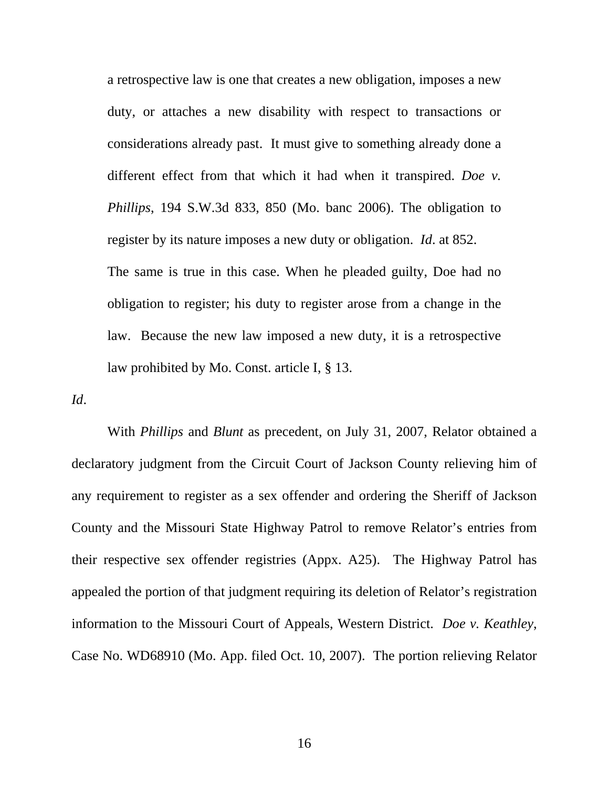a retrospective law is one that creates a new obligation, imposes a new duty, or attaches a new disability with respect to transactions or considerations already past. It must give to something already done a different effect from that which it had when it transpired. *Doe v. Phillips*, 194 S.W.3d 833, 850 (Mo. banc 2006). The obligation to register by its nature imposes a new duty or obligation. *Id*. at 852. The same is true in this case. When he pleaded guilty, Doe had no obligation to register; his duty to register arose from a change in the law. Because the new law imposed a new duty, it is a retrospective law prohibited by Mo. Const. article I, § 13.

*Id*.

 With *Phillips* and *Blunt* as precedent, on July 31, 2007, Relator obtained a declaratory judgment from the Circuit Court of Jackson County relieving him of any requirement to register as a sex offender and ordering the Sheriff of Jackson County and the Missouri State Highway Patrol to remove Relator's entries from their respective sex offender registries (Appx. A25). The Highway Patrol has appealed the portion of that judgment requiring its deletion of Relator's registration information to the Missouri Court of Appeals, Western District. *Doe v. Keathley*, Case No. WD68910 (Mo. App. filed Oct. 10, 2007). The portion relieving Relator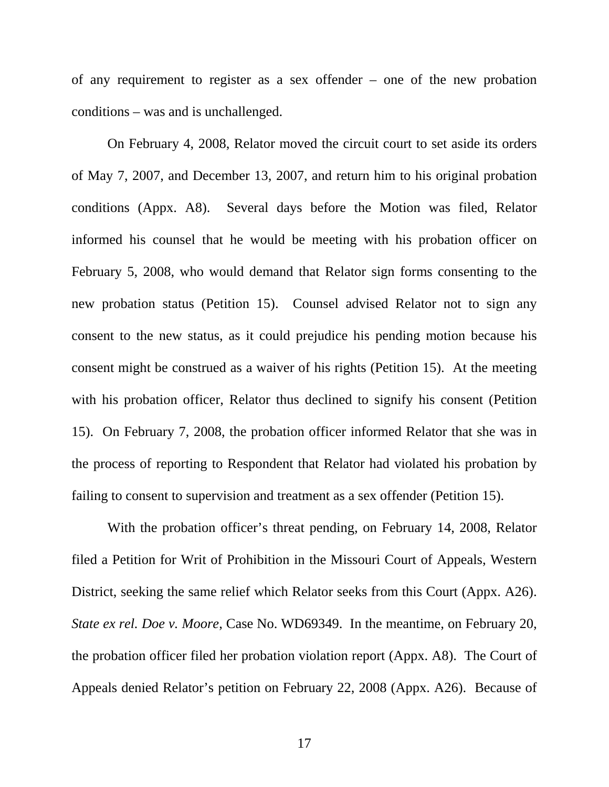of any requirement to register as a sex offender – one of the new probation conditions – was and is unchallenged.

 On February 4, 2008, Relator moved the circuit court to set aside its orders of May 7, 2007, and December 13, 2007, and return him to his original probation conditions (Appx. A8). Several days before the Motion was filed, Relator informed his counsel that he would be meeting with his probation officer on February 5, 2008, who would demand that Relator sign forms consenting to the new probation status (Petition 15). Counsel advised Relator not to sign any consent to the new status, as it could prejudice his pending motion because his consent might be construed as a waiver of his rights (Petition 15). At the meeting with his probation officer, Relator thus declined to signify his consent (Petition 15). On February 7, 2008, the probation officer informed Relator that she was in the process of reporting to Respondent that Relator had violated his probation by failing to consent to supervision and treatment as a sex offender (Petition 15).

 With the probation officer's threat pending, on February 14, 2008, Relator filed a Petition for Writ of Prohibition in the Missouri Court of Appeals, Western District, seeking the same relief which Relator seeks from this Court (Appx. A26). *State ex rel. Doe v. Moore*, Case No. WD69349. In the meantime, on February 20, the probation officer filed her probation violation report (Appx. A8). The Court of Appeals denied Relator's petition on February 22, 2008 (Appx. A26). Because of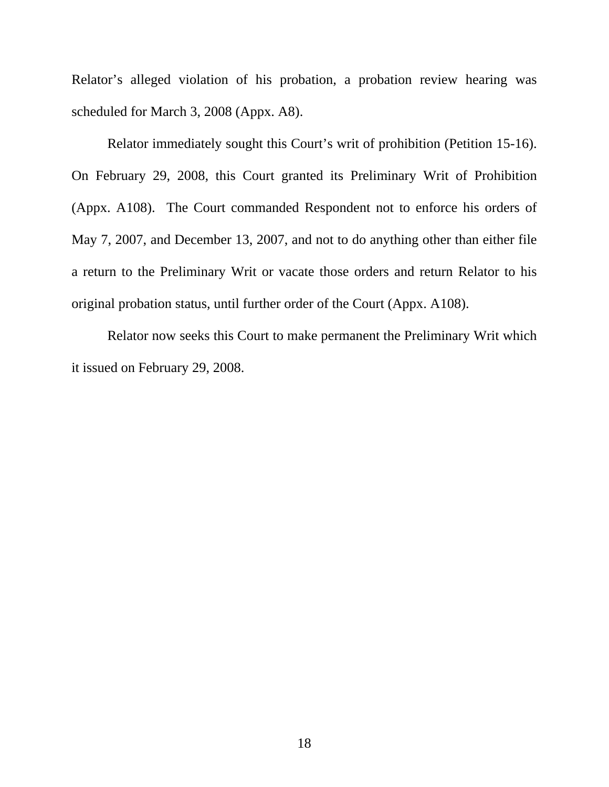Relator's alleged violation of his probation, a probation review hearing was scheduled for March 3, 2008 (Appx. A8).

 Relator immediately sought this Court's writ of prohibition (Petition 15-16). On February 29, 2008, this Court granted its Preliminary Writ of Prohibition (Appx. A108). The Court commanded Respondent not to enforce his orders of May 7, 2007, and December 13, 2007, and not to do anything other than either file a return to the Preliminary Writ or vacate those orders and return Relator to his original probation status, until further order of the Court (Appx. A108).

 Relator now seeks this Court to make permanent the Preliminary Writ which it issued on February 29, 2008.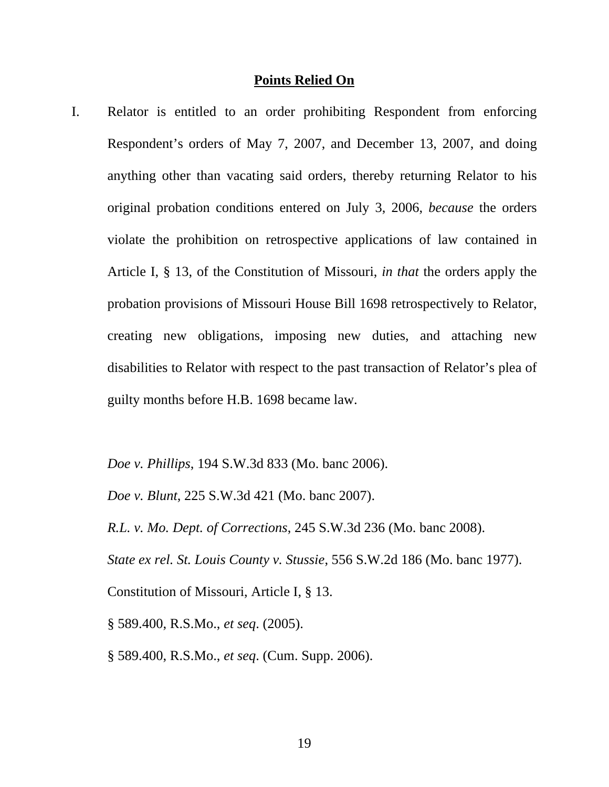#### **Points Relied On**

I. Relator is entitled to an order prohibiting Respondent from enforcing Respondent's orders of May 7, 2007, and December 13, 2007, and doing anything other than vacating said orders, thereby returning Relator to his original probation conditions entered on July 3, 2006, *because* the orders violate the prohibition on retrospective applications of law contained in Article I, § 13, of the Constitution of Missouri, *in that* the orders apply the probation provisions of Missouri House Bill 1698 retrospectively to Relator, creating new obligations, imposing new duties, and attaching new disabilities to Relator with respect to the past transaction of Relator's plea of guilty months before H.B. 1698 became law.

*Doe v. Phillips*, 194 S.W.3d 833 (Mo. banc 2006).

*Doe v. Blunt*, 225 S.W.3d 421 (Mo. banc 2007).

*R.L. v. Mo. Dept. of Corrections*, 245 S.W.3d 236 (Mo. banc 2008).

*State ex rel. St. Louis County v. Stussie*, 556 S.W.2d 186 (Mo. banc 1977).

Constitution of Missouri, Article I, § 13.

§ 589.400, R.S.Mo., *et seq*. (2005).

§ 589.400, R.S.Mo., *et seq*. (Cum. Supp. 2006).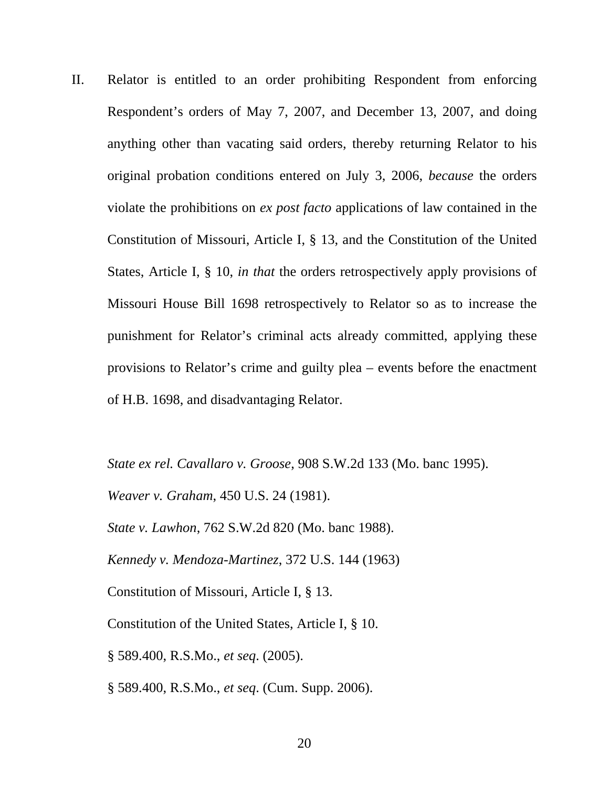II. Relator is entitled to an order prohibiting Respondent from enforcing Respondent's orders of May 7, 2007, and December 13, 2007, and doing anything other than vacating said orders, thereby returning Relator to his original probation conditions entered on July 3, 2006, *because* the orders violate the prohibitions on *ex post facto* applications of law contained in the Constitution of Missouri, Article I, § 13, and the Constitution of the United States, Article I, § 10, *in that* the orders retrospectively apply provisions of Missouri House Bill 1698 retrospectively to Relator so as to increase the punishment for Relator's criminal acts already committed, applying these provisions to Relator's crime and guilty plea – events before the enactment of H.B. 1698, and disadvantaging Relator.

*State ex rel. Cavallaro v. Groose*, 908 S.W.2d 133 (Mo. banc 1995).

*Weaver v. Graham*, 450 U.S. 24 (1981).

*State v. Lawhon*, 762 S.W.2d 820 (Mo. banc 1988).

*Kennedy v. Mendoza-Martinez*, 372 U.S. 144 (1963)

Constitution of Missouri, Article I, § 13.

Constitution of the United States, Article I, § 10.

§ 589.400, R.S.Mo., *et seq*. (2005).

§ 589.400, R.S.Mo., *et seq*. (Cum. Supp. 2006).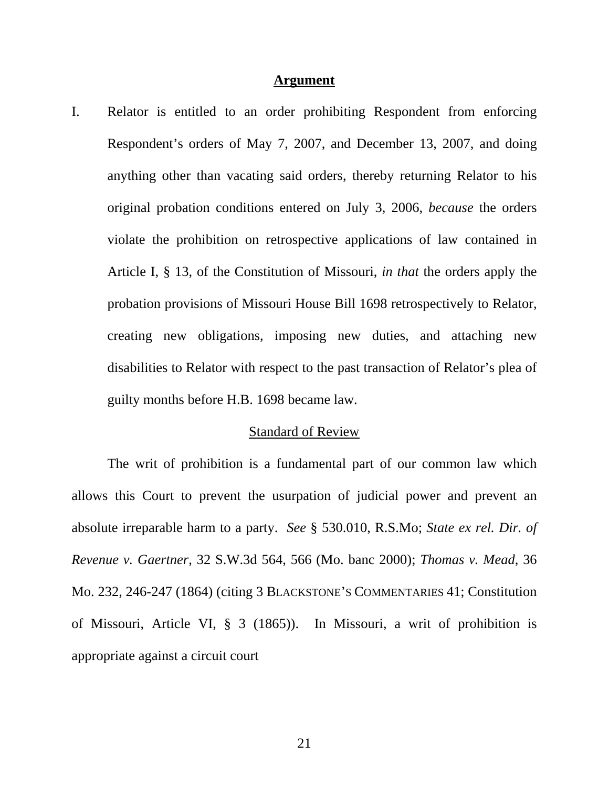#### **Argument**

I. Relator is entitled to an order prohibiting Respondent from enforcing Respondent's orders of May 7, 2007, and December 13, 2007, and doing anything other than vacating said orders, thereby returning Relator to his original probation conditions entered on July 3, 2006, *because* the orders violate the prohibition on retrospective applications of law contained in Article I, § 13, of the Constitution of Missouri, *in that* the orders apply the probation provisions of Missouri House Bill 1698 retrospectively to Relator, creating new obligations, imposing new duties, and attaching new disabilities to Relator with respect to the past transaction of Relator's plea of guilty months before H.B. 1698 became law.

#### Standard of Review

The writ of prohibition is a fundamental part of our common law which allows this Court to prevent the usurpation of judicial power and prevent an absolute irreparable harm to a party. *See* § 530.010, R.S.Mo; *State ex rel. Dir. of Revenue v. Gaertner*, 32 S.W.3d 564, 566 (Mo. banc 2000); *Thomas v. Mead*, 36 Mo. 232, 246-247 (1864) (citing 3 BLACKSTONE'S COMMENTARIES 41; Constitution of Missouri, Article VI, § 3 (1865)). In Missouri, a writ of prohibition is appropriate against a circuit court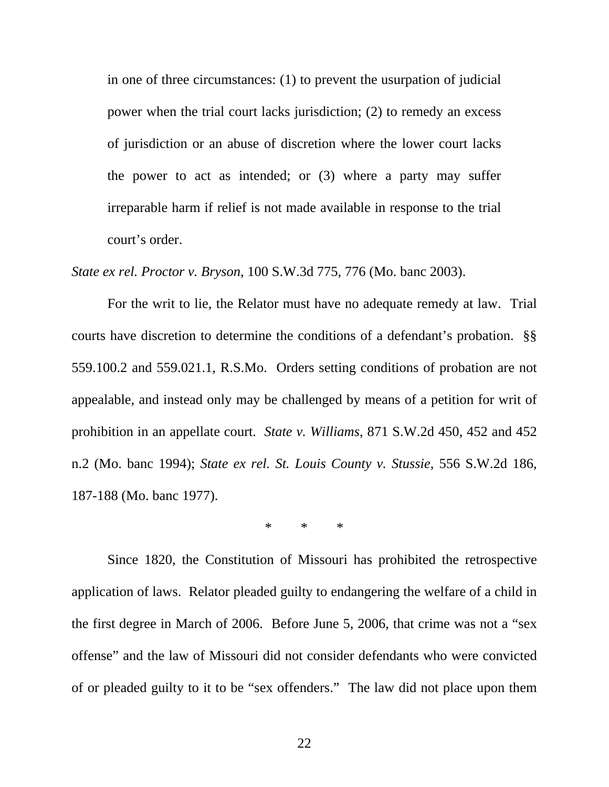in one of three circumstances: (1) to prevent the usurpation of judicial power when the trial court lacks jurisdiction; (2) to remedy an excess of jurisdiction or an abuse of discretion where the lower court lacks the power to act as intended; or (3) where a party may suffer irreparable harm if relief is not made available in response to the trial court's order.

*State ex rel. Proctor v. Bryson*, 100 S.W.3d 775, 776 (Mo. banc 2003).

For the writ to lie, the Relator must have no adequate remedy at law. Trial courts have discretion to determine the conditions of a defendant's probation. §§ 559.100.2 and 559.021.1, R.S.Mo. Orders setting conditions of probation are not appealable, and instead only may be challenged by means of a petition for writ of prohibition in an appellate court. *State v. Williams*, 871 S.W.2d 450, 452 and 452 n.2 (Mo. banc 1994); *State ex rel. St. Louis County v. Stussie*, 556 S.W.2d 186, 187-188 (Mo. banc 1977).

\* \* \*

Since 1820, the Constitution of Missouri has prohibited the retrospective application of laws. Relator pleaded guilty to endangering the welfare of a child in the first degree in March of 2006. Before June 5, 2006, that crime was not a "sex offense" and the law of Missouri did not consider defendants who were convicted of or pleaded guilty to it to be "sex offenders." The law did not place upon them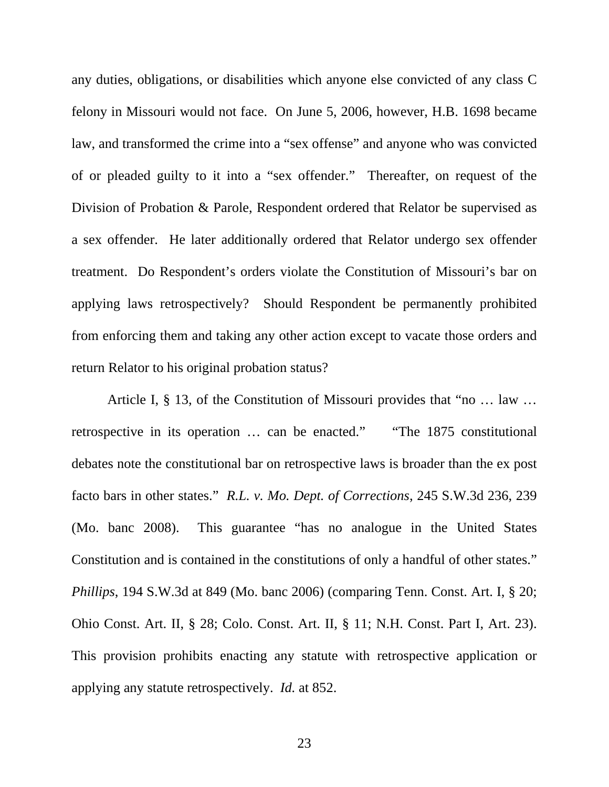any duties, obligations, or disabilities which anyone else convicted of any class C felony in Missouri would not face. On June 5, 2006, however, H.B. 1698 became law, and transformed the crime into a "sex offense" and anyone who was convicted of or pleaded guilty to it into a "sex offender." Thereafter, on request of the Division of Probation & Parole, Respondent ordered that Relator be supervised as a sex offender. He later additionally ordered that Relator undergo sex offender treatment. Do Respondent's orders violate the Constitution of Missouri's bar on applying laws retrospectively? Should Respondent be permanently prohibited from enforcing them and taking any other action except to vacate those orders and return Relator to his original probation status?

Article I, § 13, of the Constitution of Missouri provides that "no … law … retrospective in its operation … can be enacted." "The 1875 constitutional debates note the constitutional bar on retrospective laws is broader than the ex post facto bars in other states." *R.L. v. Mo. Dept. of Corrections*, 245 S.W.3d 236, 239 (Mo. banc 2008). This guarantee "has no analogue in the United States Constitution and is contained in the constitutions of only a handful of other states." *Phillips*, 194 S.W.3d at 849 (Mo. banc 2006) (comparing Tenn. Const. Art. I, § 20; Ohio Const. Art. II, § 28; Colo. Const. Art. II, § 11; N.H. Const. Part I, Art. 23). This provision prohibits enacting any statute with retrospective application or applying any statute retrospectively. *Id.* at 852.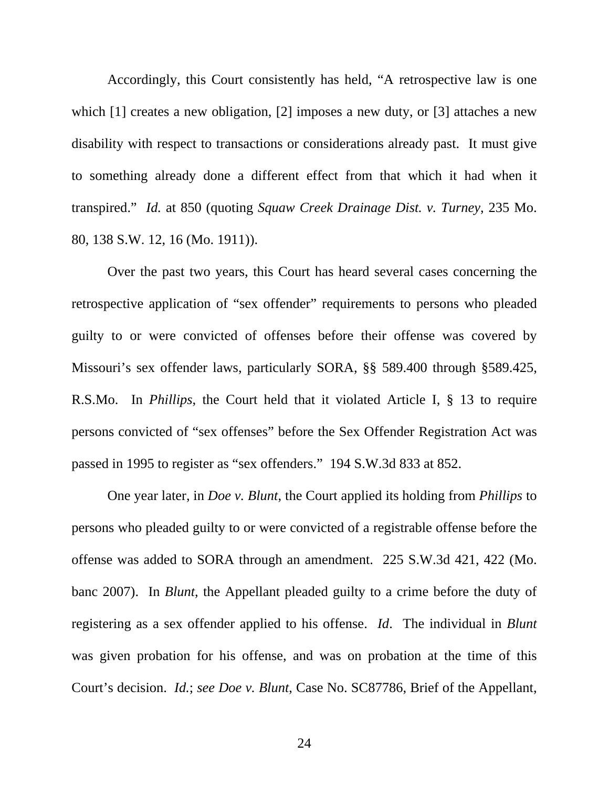Accordingly, this Court consistently has held, "A retrospective law is one which [1] creates a new obligation, [2] imposes a new duty, or [3] attaches a new disability with respect to transactions or considerations already past. It must give to something already done a different effect from that which it had when it transpired." *Id.* at 850 (quoting *Squaw Creek Drainage Dist. v. Turney*, 235 Mo. 80, 138 S.W. 12, 16 (Mo. 1911)).

Over the past two years, this Court has heard several cases concerning the retrospective application of "sex offender" requirements to persons who pleaded guilty to or were convicted of offenses before their offense was covered by Missouri's sex offender laws, particularly SORA, §§ 589.400 through §589.425, R.S.Mo. In *Phillips*, the Court held that it violated Article I, § 13 to require persons convicted of "sex offenses" before the Sex Offender Registration Act was passed in 1995 to register as "sex offenders." 194 S.W.3d 833 at 852.

One year later, in *Doe v. Blunt*, the Court applied its holding from *Phillips* to persons who pleaded guilty to or were convicted of a registrable offense before the offense was added to SORA through an amendment. 225 S.W.3d 421, 422 (Mo. banc 2007). In *Blunt*, the Appellant pleaded guilty to a crime before the duty of registering as a sex offender applied to his offense. *Id*. The individual in *Blunt* was given probation for his offense, and was on probation at the time of this Court's decision. *Id.*; *see Doe v. Blunt*, Case No. SC87786, Brief of the Appellant,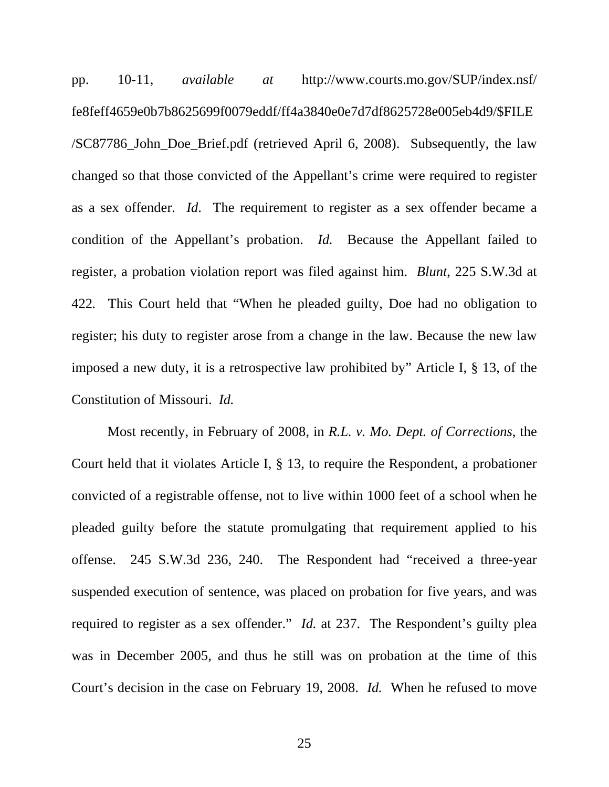pp. 10-11, *available at* http://www.courts.mo.gov/SUP/index.nsf/ fe8feff4659e0b7b8625699f0079eddf/ff4a3840e0e7d7df8625728e005eb4d9/\$FILE /SC87786\_John\_Doe\_Brief.pdf (retrieved April 6, 2008). Subsequently, the law changed so that those convicted of the Appellant's crime were required to register as a sex offender. *Id*. The requirement to register as a sex offender became a condition of the Appellant's probation. *Id.* Because the Appellant failed to register, a probation violation report was filed against him. *Blunt*, 225 S.W.3d at 422*.* This Court held that "When he pleaded guilty, Doe had no obligation to register; his duty to register arose from a change in the law. Because the new law imposed a new duty, it is a retrospective law prohibited by" Article I, § 13, of the Constitution of Missouri. *Id.*

Most recently, in February of 2008, in *R.L. v. Mo. Dept. of Corrections*, the Court held that it violates Article I, § 13, to require the Respondent, a probationer convicted of a registrable offense, not to live within 1000 feet of a school when he pleaded guilty before the statute promulgating that requirement applied to his offense. 245 S.W.3d 236, 240. The Respondent had "received a three-year suspended execution of sentence, was placed on probation for five years, and was required to register as a sex offender." *Id.* at 237. The Respondent's guilty plea was in December 2005, and thus he still was on probation at the time of this Court's decision in the case on February 19, 2008. *Id.* When he refused to move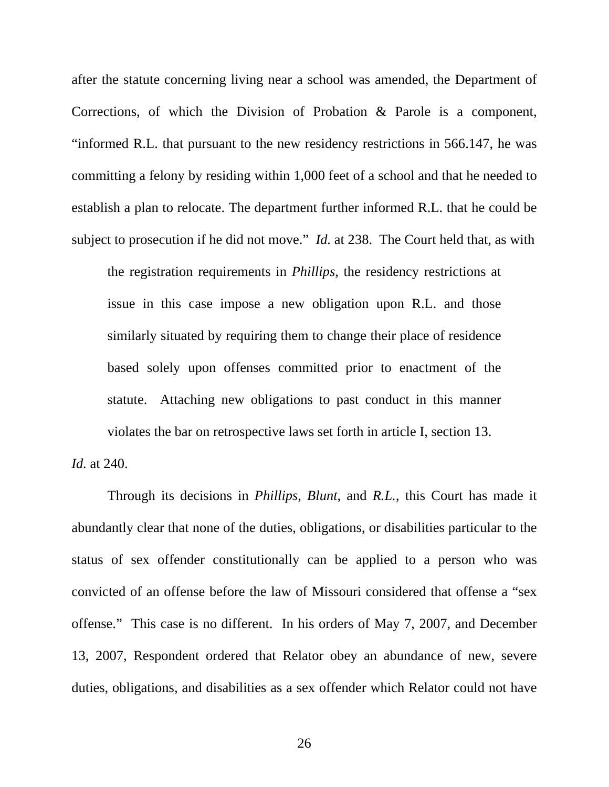after the statute concerning living near a school was amended, the Department of Corrections, of which the Division of Probation & Parole is a component, "informed R.L. that pursuant to the new residency restrictions in 566.147, he was committing a felony by residing within 1,000 feet of a school and that he needed to establish a plan to relocate. The department further informed R.L. that he could be subject to prosecution if he did not move." *Id.* at 238. The Court held that, as with

the registration requirements in *Phillips*, the residency restrictions at issue in this case impose a new obligation upon R.L. and those similarly situated by requiring them to change their place of residence based solely upon offenses committed prior to enactment of the statute. Attaching new obligations to past conduct in this manner violates the bar on retrospective laws set forth in article I, section 13.

*Id.* at 240.

Through its decisions in *Phillips*, *Blunt*, and *R.L.*, this Court has made it abundantly clear that none of the duties, obligations, or disabilities particular to the status of sex offender constitutionally can be applied to a person who was convicted of an offense before the law of Missouri considered that offense a "sex offense." This case is no different. In his orders of May 7, 2007, and December 13, 2007, Respondent ordered that Relator obey an abundance of new, severe duties, obligations, and disabilities as a sex offender which Relator could not have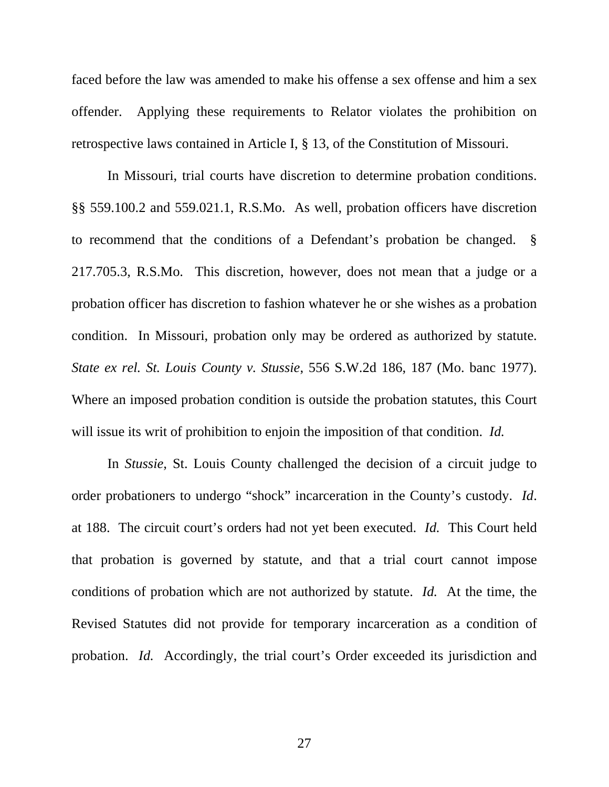faced before the law was amended to make his offense a sex offense and him a sex offender. Applying these requirements to Relator violates the prohibition on retrospective laws contained in Article I, § 13, of the Constitution of Missouri.

In Missouri, trial courts have discretion to determine probation conditions. §§ 559.100.2 and 559.021.1, R.S.Mo. As well, probation officers have discretion to recommend that the conditions of a Defendant's probation be changed. § 217.705.3, R.S.Mo. This discretion, however, does not mean that a judge or a probation officer has discretion to fashion whatever he or she wishes as a probation condition. In Missouri, probation only may be ordered as authorized by statute. *State ex rel. St. Louis County v. Stussie*, 556 S.W.2d 186, 187 (Mo. banc 1977). Where an imposed probation condition is outside the probation statutes, this Court will issue its writ of prohibition to enjoin the imposition of that condition. *Id.*

In *Stussie*, St. Louis County challenged the decision of a circuit judge to order probationers to undergo "shock" incarceration in the County's custody. *Id*. at 188. The circuit court's orders had not yet been executed. *Id.* This Court held that probation is governed by statute, and that a trial court cannot impose conditions of probation which are not authorized by statute. *Id.* At the time, the Revised Statutes did not provide for temporary incarceration as a condition of probation. *Id.* Accordingly, the trial court's Order exceeded its jurisdiction and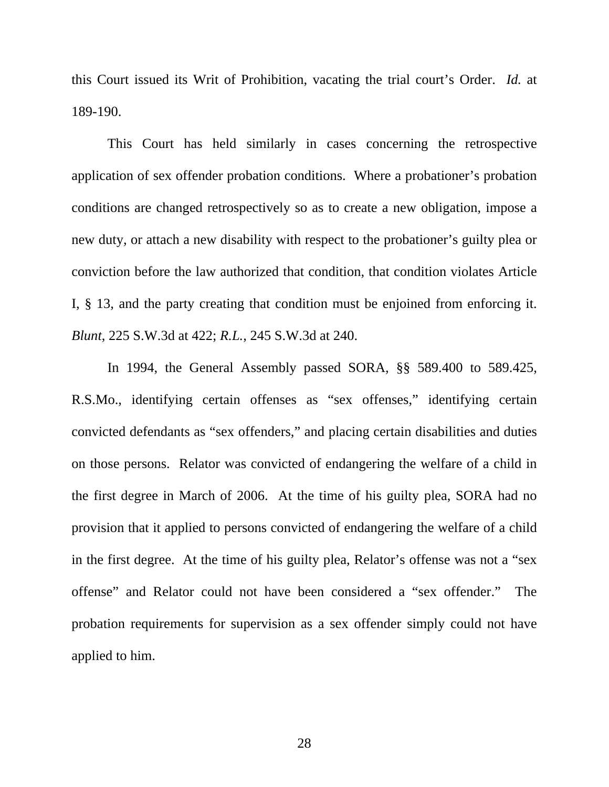this Court issued its Writ of Prohibition, vacating the trial court's Order. *Id.* at 189-190.

This Court has held similarly in cases concerning the retrospective application of sex offender probation conditions. Where a probationer's probation conditions are changed retrospectively so as to create a new obligation, impose a new duty, or attach a new disability with respect to the probationer's guilty plea or conviction before the law authorized that condition, that condition violates Article I, § 13, and the party creating that condition must be enjoined from enforcing it. *Blunt*, 225 S.W.3d at 422; *R.L.*, 245 S.W.3d at 240.

In 1994, the General Assembly passed SORA, §§ 589.400 to 589.425, R.S.Mo., identifying certain offenses as "sex offenses," identifying certain convicted defendants as "sex offenders," and placing certain disabilities and duties on those persons. Relator was convicted of endangering the welfare of a child in the first degree in March of 2006. At the time of his guilty plea, SORA had no provision that it applied to persons convicted of endangering the welfare of a child in the first degree. At the time of his guilty plea, Relator's offense was not a "sex offense" and Relator could not have been considered a "sex offender." The probation requirements for supervision as a sex offender simply could not have applied to him.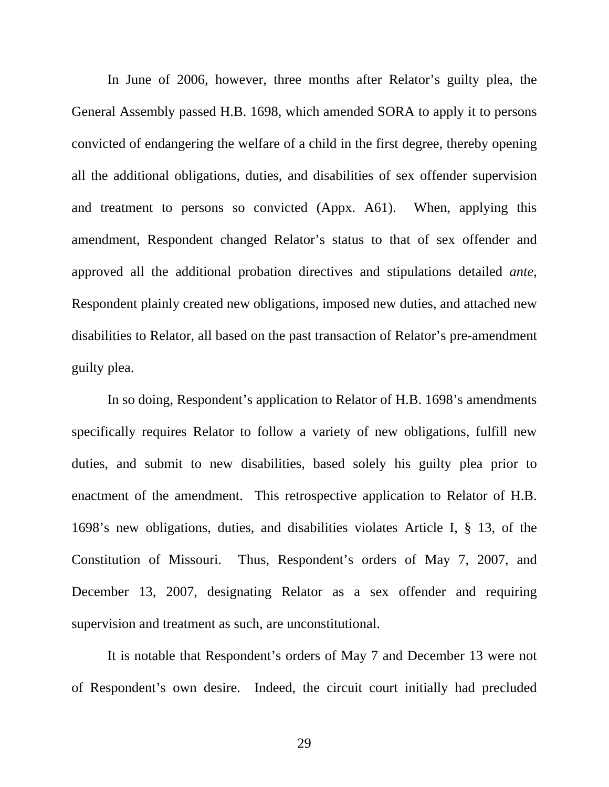In June of 2006, however, three months after Relator's guilty plea, the General Assembly passed H.B. 1698, which amended SORA to apply it to persons convicted of endangering the welfare of a child in the first degree, thereby opening all the additional obligations, duties, and disabilities of sex offender supervision and treatment to persons so convicted (Appx. A61). When, applying this amendment, Respondent changed Relator's status to that of sex offender and approved all the additional probation directives and stipulations detailed *ante*, Respondent plainly created new obligations, imposed new duties, and attached new disabilities to Relator, all based on the past transaction of Relator's pre-amendment guilty plea.

In so doing, Respondent's application to Relator of H.B. 1698's amendments specifically requires Relator to follow a variety of new obligations, fulfill new duties, and submit to new disabilities, based solely his guilty plea prior to enactment of the amendment. This retrospective application to Relator of H.B. 1698's new obligations, duties, and disabilities violates Article I, § 13, of the Constitution of Missouri. Thus, Respondent's orders of May 7, 2007, and December 13, 2007, designating Relator as a sex offender and requiring supervision and treatment as such, are unconstitutional.

It is notable that Respondent's orders of May 7 and December 13 were not of Respondent's own desire. Indeed, the circuit court initially had precluded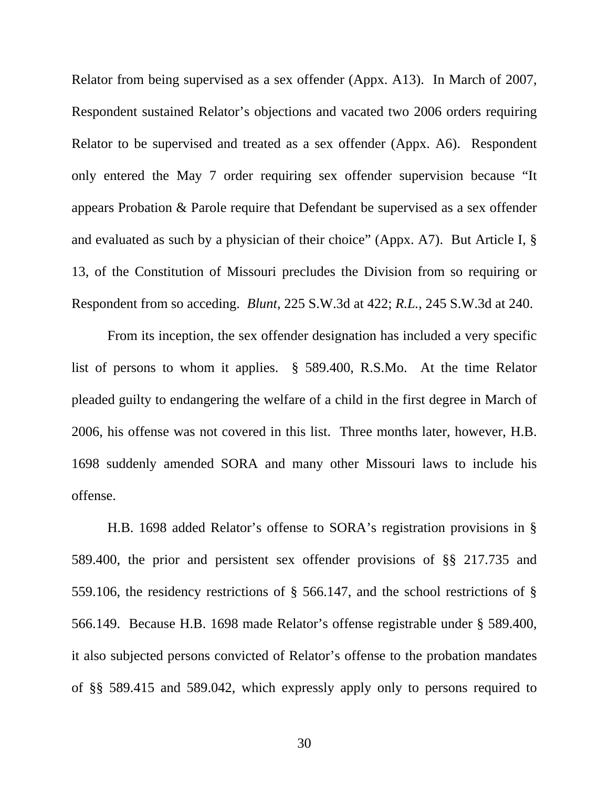Relator from being supervised as a sex offender (Appx. A13). In March of 2007, Respondent sustained Relator's objections and vacated two 2006 orders requiring Relator to be supervised and treated as a sex offender (Appx. A6). Respondent only entered the May 7 order requiring sex offender supervision because "It appears Probation & Parole require that Defendant be supervised as a sex offender and evaluated as such by a physician of their choice" (Appx. A7). But Article I, § 13, of the Constitution of Missouri precludes the Division from so requiring or Respondent from so acceding. *Blunt*, 225 S.W.3d at 422; *R.L.*, 245 S.W.3d at 240.

From its inception, the sex offender designation has included a very specific list of persons to whom it applies. § 589.400, R.S.Mo. At the time Relator pleaded guilty to endangering the welfare of a child in the first degree in March of 2006, his offense was not covered in this list. Three months later, however, H.B. 1698 suddenly amended SORA and many other Missouri laws to include his offense.

H.B. 1698 added Relator's offense to SORA's registration provisions in § 589.400, the prior and persistent sex offender provisions of §§ 217.735 and 559.106, the residency restrictions of § 566.147, and the school restrictions of § 566.149. Because H.B. 1698 made Relator's offense registrable under § 589.400, it also subjected persons convicted of Relator's offense to the probation mandates of §§ 589.415 and 589.042, which expressly apply only to persons required to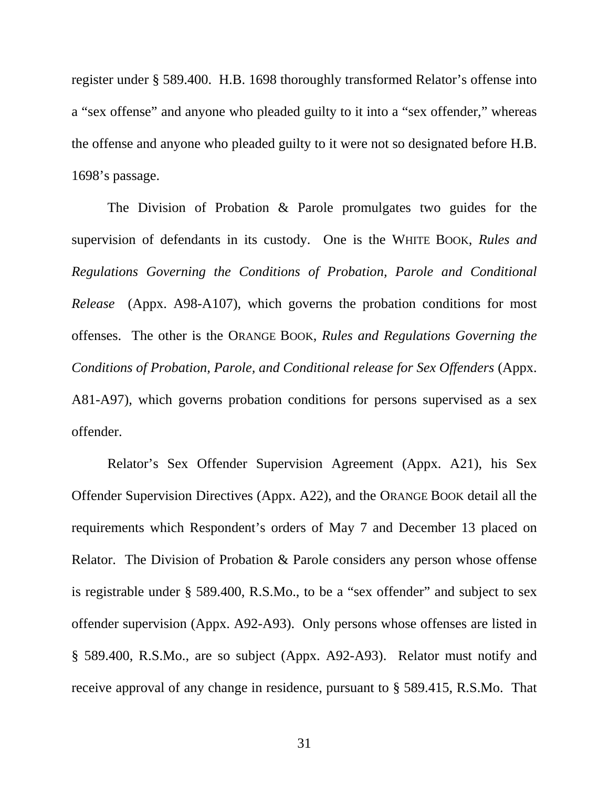register under § 589.400. H.B. 1698 thoroughly transformed Relator's offense into a "sex offense" and anyone who pleaded guilty to it into a "sex offender," whereas the offense and anyone who pleaded guilty to it were not so designated before H.B. 1698's passage.

The Division of Probation & Parole promulgates two guides for the supervision of defendants in its custody. One is the WHITE BOOK, *Rules and Regulations Governing the Conditions of Probation, Parole and Conditional Release* (Appx. A98-A107), which governs the probation conditions for most offenses. The other is the ORANGE BOOK, *Rules and Regulations Governing the Conditions of Probation, Parole, and Conditional release for Sex Offenders* (Appx. A81-A97), which governs probation conditions for persons supervised as a sex offender.

Relator's Sex Offender Supervision Agreement (Appx. A21), his Sex Offender Supervision Directives (Appx. A22), and the ORANGE BOOK detail all the requirements which Respondent's orders of May 7 and December 13 placed on Relator. The Division of Probation & Parole considers any person whose offense is registrable under § 589.400, R.S.Mo., to be a "sex offender" and subject to sex offender supervision (Appx. A92-A93). Only persons whose offenses are listed in § 589.400, R.S.Mo., are so subject (Appx. A92-A93). Relator must notify and receive approval of any change in residence, pursuant to § 589.415, R.S.Mo. That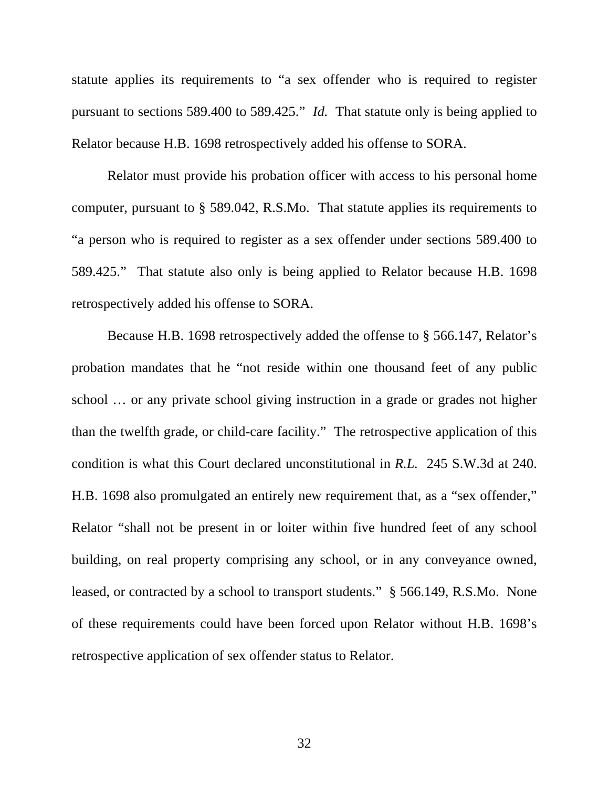statute applies its requirements to "a sex offender who is required to register pursuant to sections 589.400 to 589.425." *Id.* That statute only is being applied to Relator because H.B. 1698 retrospectively added his offense to SORA.

Relator must provide his probation officer with access to his personal home computer, pursuant to § 589.042, R.S.Mo. That statute applies its requirements to "a person who is required to register as a sex offender under sections 589.400 to 589.425." That statute also only is being applied to Relator because H.B. 1698 retrospectively added his offense to SORA.

Because H.B. 1698 retrospectively added the offense to § 566.147, Relator's probation mandates that he "not reside within one thousand feet of any public school … or any private school giving instruction in a grade or grades not higher than the twelfth grade, or child-care facility." The retrospective application of this condition is what this Court declared unconstitutional in *R.L.* 245 S.W.3d at 240. H.B. 1698 also promulgated an entirely new requirement that, as a "sex offender," Relator "shall not be present in or loiter within five hundred feet of any school building, on real property comprising any school, or in any conveyance owned, leased, or contracted by a school to transport students." § 566.149, R.S.Mo. None of these requirements could have been forced upon Relator without H.B. 1698's retrospective application of sex offender status to Relator.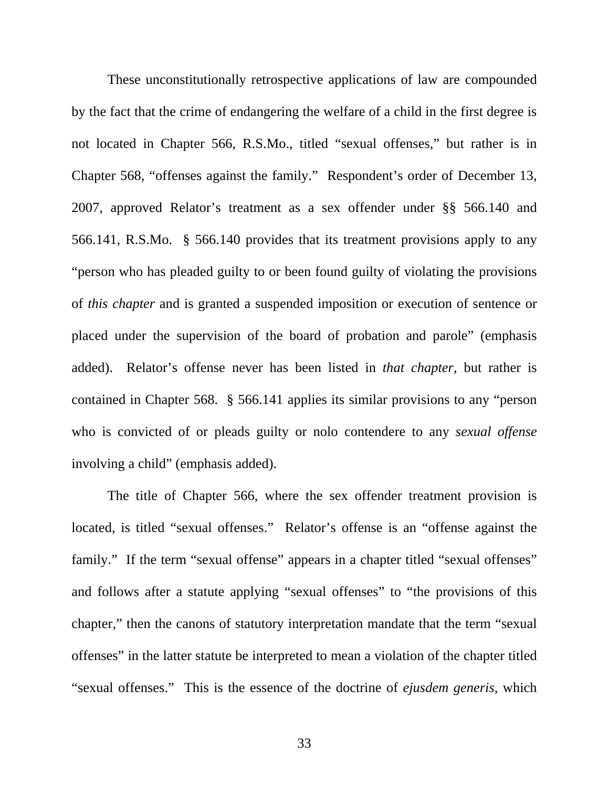These unconstitutionally retrospective applications of law are compounded by the fact that the crime of endangering the welfare of a child in the first degree is not located in Chapter 566, R.S.Mo., titled "sexual offenses," but rather is in Chapter 568, "offenses against the family." Respondent's order of December 13, 2007, approved Relator's treatment as a sex offender under §§ 566.140 and 566.141, R.S.Mo. § 566.140 provides that its treatment provisions apply to any "person who has pleaded guilty to or been found guilty of violating the provisions of *this chapter* and is granted a suspended imposition or execution of sentence or placed under the supervision of the board of probation and parole" (emphasis added). Relator's offense never has been listed in *that chapter*, but rather is contained in Chapter 568. § 566.141 applies its similar provisions to any "person who is convicted of or pleads guilty or nolo contendere to any *sexual offense* involving a child" (emphasis added).

The title of Chapter 566, where the sex offender treatment provision is located, is titled "sexual offenses." Relator's offense is an "offense against the family." If the term "sexual offense" appears in a chapter titled "sexual offenses" and follows after a statute applying "sexual offenses" to "the provisions of this chapter," then the canons of statutory interpretation mandate that the term "sexual offenses" in the latter statute be interpreted to mean a violation of the chapter titled "sexual offenses." This is the essence of the doctrine of *ejusdem generis*, which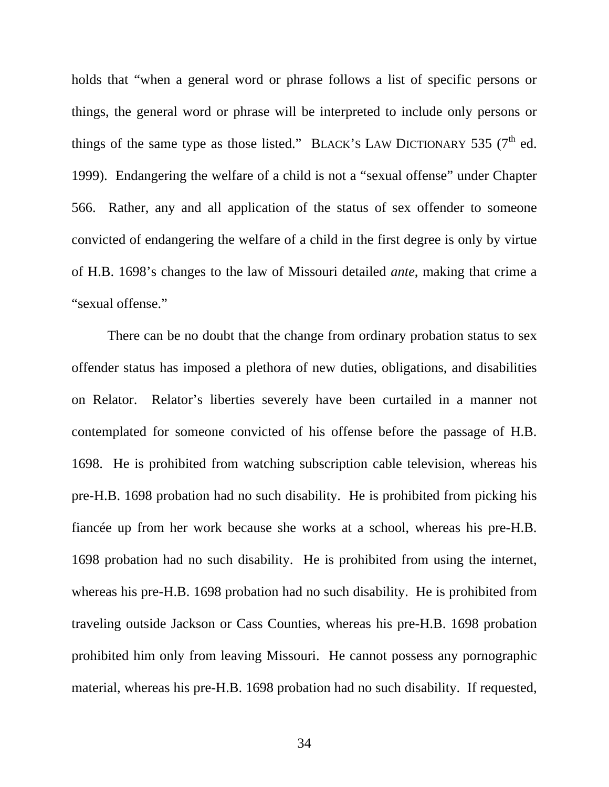holds that "when a general word or phrase follows a list of specific persons or things, the general word or phrase will be interpreted to include only persons or things of the same type as those listed." BLACK's LAW DICTIONARY 535 ( $7<sup>th</sup>$  ed. 1999). Endangering the welfare of a child is not a "sexual offense" under Chapter 566. Rather, any and all application of the status of sex offender to someone convicted of endangering the welfare of a child in the first degree is only by virtue of H.B. 1698's changes to the law of Missouri detailed *ante*, making that crime a "sexual offense."

There can be no doubt that the change from ordinary probation status to sex offender status has imposed a plethora of new duties, obligations, and disabilities on Relator. Relator's liberties severely have been curtailed in a manner not contemplated for someone convicted of his offense before the passage of H.B. 1698. He is prohibited from watching subscription cable television, whereas his pre-H.B. 1698 probation had no such disability. He is prohibited from picking his fiancée up from her work because she works at a school, whereas his pre-H.B. 1698 probation had no such disability. He is prohibited from using the internet, whereas his pre-H.B. 1698 probation had no such disability. He is prohibited from traveling outside Jackson or Cass Counties, whereas his pre-H.B. 1698 probation prohibited him only from leaving Missouri. He cannot possess any pornographic material, whereas his pre-H.B. 1698 probation had no such disability. If requested,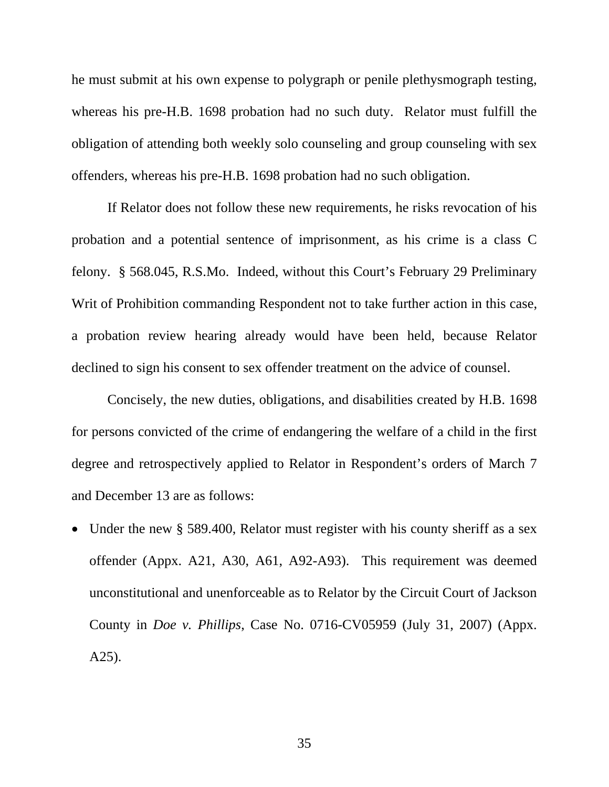he must submit at his own expense to polygraph or penile plethysmograph testing, whereas his pre-H.B. 1698 probation had no such duty. Relator must fulfill the obligation of attending both weekly solo counseling and group counseling with sex offenders, whereas his pre-H.B. 1698 probation had no such obligation.

If Relator does not follow these new requirements, he risks revocation of his probation and a potential sentence of imprisonment, as his crime is a class C felony. § 568.045, R.S.Mo. Indeed, without this Court's February 29 Preliminary Writ of Prohibition commanding Respondent not to take further action in this case, a probation review hearing already would have been held, because Relator declined to sign his consent to sex offender treatment on the advice of counsel.

Concisely, the new duties, obligations, and disabilities created by H.B. 1698 for persons convicted of the crime of endangering the welfare of a child in the first degree and retrospectively applied to Relator in Respondent's orders of March 7 and December 13 are as follows:

• Under the new § 589.400, Relator must register with his county sheriff as a sex offender (Appx. A21, A30, A61, A92-A93). This requirement was deemed unconstitutional and unenforceable as to Relator by the Circuit Court of Jackson County in *Doe v. Phillips*, Case No. 0716-CV05959 (July 31, 2007) (Appx. A25).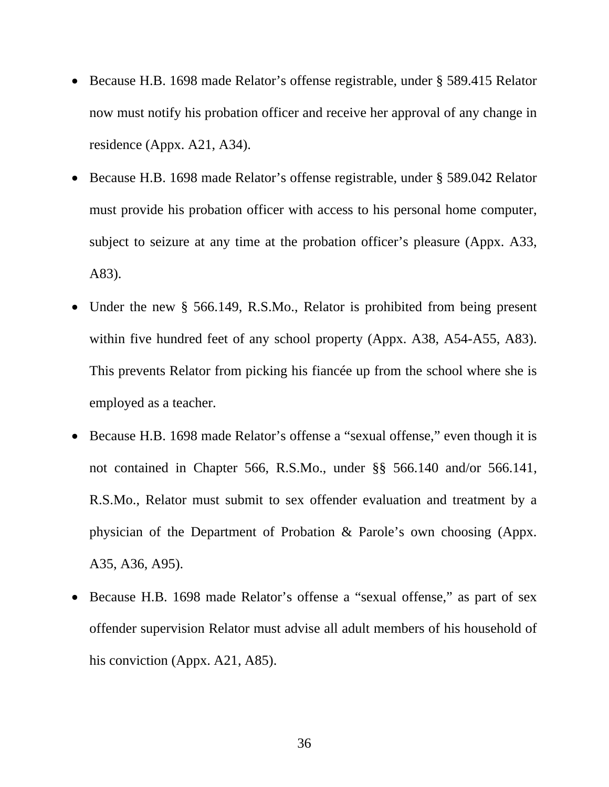- Because H.B. 1698 made Relator's offense registrable, under § 589.415 Relator now must notify his probation officer and receive her approval of any change in residence (Appx. A21, A34).
- Because H.B. 1698 made Relator's offense registrable, under § 589.042 Relator must provide his probation officer with access to his personal home computer, subject to seizure at any time at the probation officer's pleasure (Appx. A33, A83).
- Under the new § 566.149, R.S.Mo., Relator is prohibited from being present within five hundred feet of any school property (Appx. A38, A54-A55, A83). This prevents Relator from picking his fiancée up from the school where she is employed as a teacher.
- Because H.B. 1698 made Relator's offense a "sexual offense," even though it is not contained in Chapter 566, R.S.Mo., under §§ 566.140 and/or 566.141, R.S.Mo., Relator must submit to sex offender evaluation and treatment by a physician of the Department of Probation & Parole's own choosing (Appx. A35, A36, A95).
- Because H.B. 1698 made Relator's offense a "sexual offense," as part of sex offender supervision Relator must advise all adult members of his household of his conviction (Appx. A21, A85).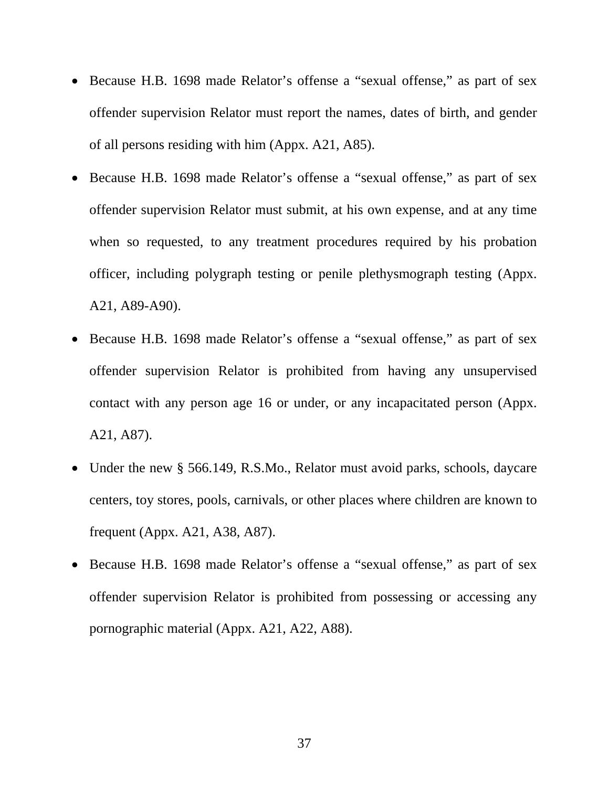- Because H.B. 1698 made Relator's offense a "sexual offense," as part of sex offender supervision Relator must report the names, dates of birth, and gender of all persons residing with him (Appx. A21, A85).
- Because H.B. 1698 made Relator's offense a "sexual offense," as part of sex offender supervision Relator must submit, at his own expense, and at any time when so requested, to any treatment procedures required by his probation officer, including polygraph testing or penile plethysmograph testing (Appx. A21, A89-A90).
- Because H.B. 1698 made Relator's offense a "sexual offense," as part of sex offender supervision Relator is prohibited from having any unsupervised contact with any person age 16 or under, or any incapacitated person (Appx. A21, A87).
- Under the new § 566.149, R.S.Mo., Relator must avoid parks, schools, daycare centers, toy stores, pools, carnivals, or other places where children are known to frequent (Appx. A21, A38, A87).
- Because H.B. 1698 made Relator's offense a "sexual offense," as part of sex offender supervision Relator is prohibited from possessing or accessing any pornographic material (Appx. A21, A22, A88).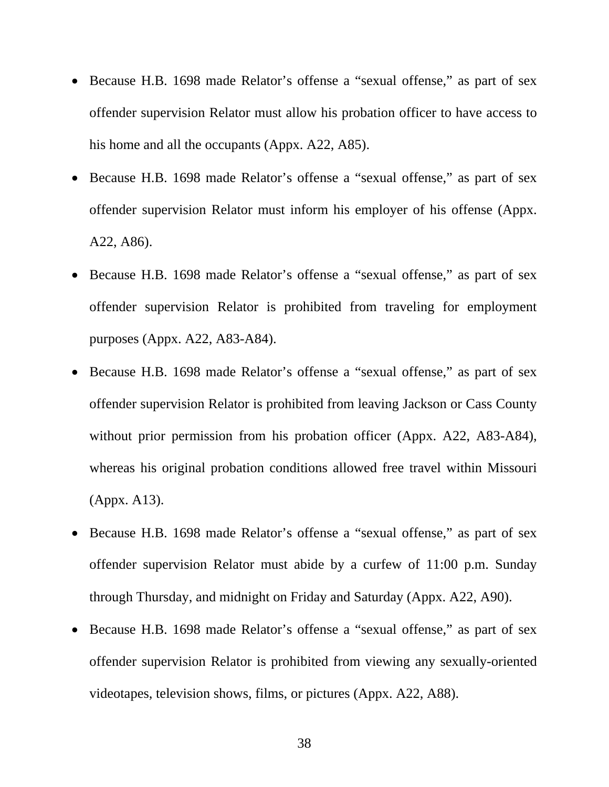- Because H.B. 1698 made Relator's offense a "sexual offense," as part of sex offender supervision Relator must allow his probation officer to have access to his home and all the occupants (Appx. A22, A85).
- Because H.B. 1698 made Relator's offense a "sexual offense," as part of sex offender supervision Relator must inform his employer of his offense (Appx. A22, A86).
- Because H.B. 1698 made Relator's offense a "sexual offense," as part of sex offender supervision Relator is prohibited from traveling for employment purposes (Appx. A22, A83-A84).
- Because H.B. 1698 made Relator's offense a "sexual offense," as part of sex offender supervision Relator is prohibited from leaving Jackson or Cass County without prior permission from his probation officer (Appx. A22, A83-A84), whereas his original probation conditions allowed free travel within Missouri (Appx. A13).
- Because H.B. 1698 made Relator's offense a "sexual offense," as part of sex offender supervision Relator must abide by a curfew of 11:00 p.m. Sunday through Thursday, and midnight on Friday and Saturday (Appx. A22, A90).
- Because H.B. 1698 made Relator's offense a "sexual offense," as part of sex offender supervision Relator is prohibited from viewing any sexually-oriented videotapes, television shows, films, or pictures (Appx. A22, A88).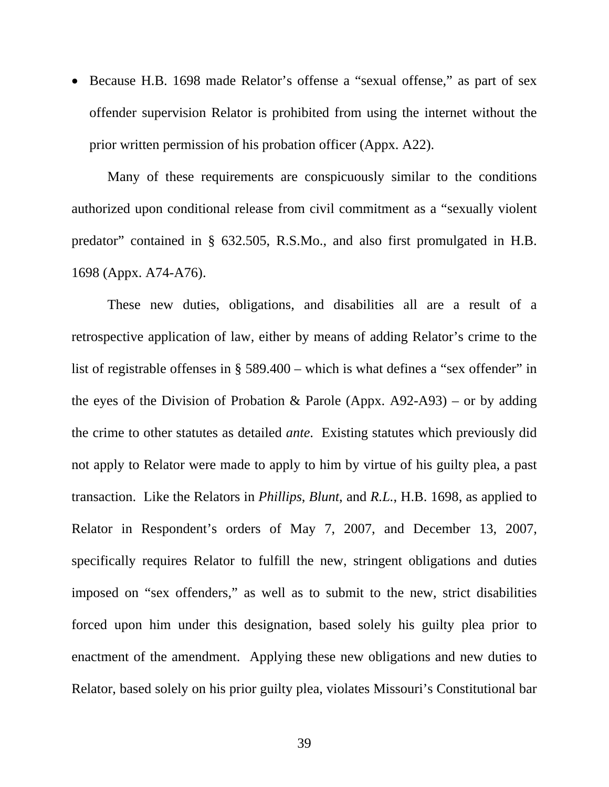• Because H.B. 1698 made Relator's offense a "sexual offense," as part of sex offender supervision Relator is prohibited from using the internet without the prior written permission of his probation officer (Appx. A22).

Many of these requirements are conspicuously similar to the conditions authorized upon conditional release from civil commitment as a "sexually violent predator" contained in § 632.505, R.S.Mo., and also first promulgated in H.B. 1698 (Appx. A74-A76).

These new duties, obligations, and disabilities all are a result of a retrospective application of law, either by means of adding Relator's crime to the list of registrable offenses in § 589.400 – which is what defines a "sex offender" in the eyes of the Division of Probation & Parole (Appx.  $A92-A93$ ) – or by adding the crime to other statutes as detailed *ante*. Existing statutes which previously did not apply to Relator were made to apply to him by virtue of his guilty plea, a past transaction. Like the Relators in *Phillips*, *Blunt*, and *R.L.*, H.B. 1698, as applied to Relator in Respondent's orders of May 7, 2007, and December 13, 2007, specifically requires Relator to fulfill the new, stringent obligations and duties imposed on "sex offenders," as well as to submit to the new, strict disabilities forced upon him under this designation, based solely his guilty plea prior to enactment of the amendment. Applying these new obligations and new duties to Relator, based solely on his prior guilty plea, violates Missouri's Constitutional bar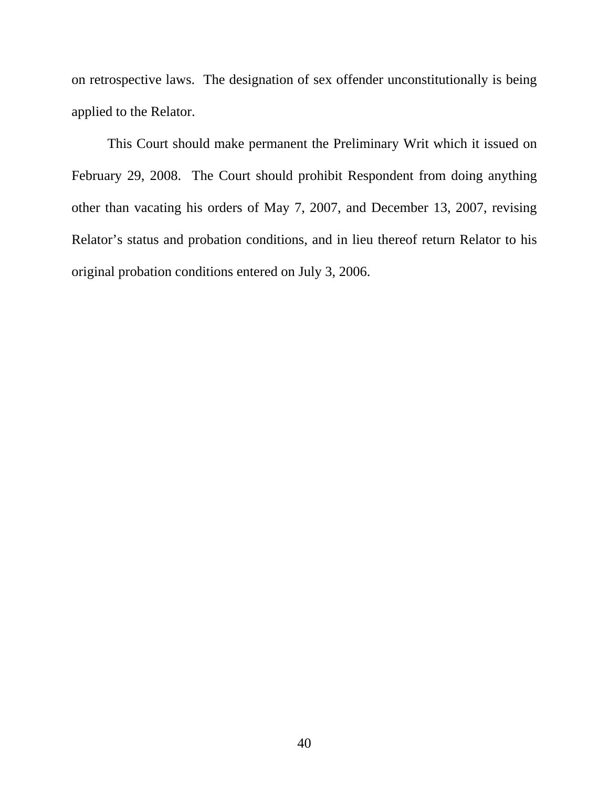on retrospective laws. The designation of sex offender unconstitutionally is being applied to the Relator.

This Court should make permanent the Preliminary Writ which it issued on February 29, 2008. The Court should prohibit Respondent from doing anything other than vacating his orders of May 7, 2007, and December 13, 2007, revising Relator's status and probation conditions, and in lieu thereof return Relator to his original probation conditions entered on July 3, 2006.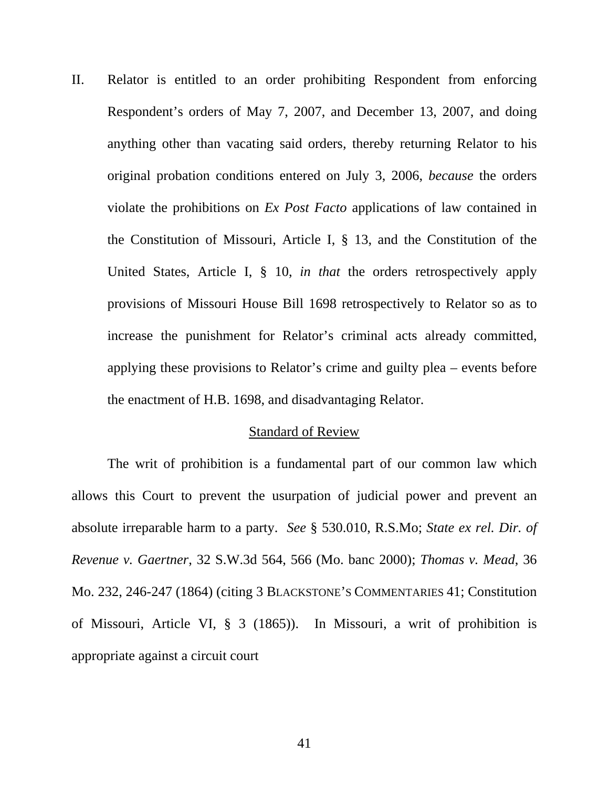II. Relator is entitled to an order prohibiting Respondent from enforcing Respondent's orders of May 7, 2007, and December 13, 2007, and doing anything other than vacating said orders, thereby returning Relator to his original probation conditions entered on July 3, 2006, *because* the orders violate the prohibitions on *Ex Post Facto* applications of law contained in the Constitution of Missouri, Article I, § 13, and the Constitution of the United States, Article I, § 10, *in that* the orders retrospectively apply provisions of Missouri House Bill 1698 retrospectively to Relator so as to increase the punishment for Relator's criminal acts already committed, applying these provisions to Relator's crime and guilty plea – events before the enactment of H.B. 1698, and disadvantaging Relator.

#### Standard of Review

The writ of prohibition is a fundamental part of our common law which allows this Court to prevent the usurpation of judicial power and prevent an absolute irreparable harm to a party. *See* § 530.010, R.S.Mo; *State ex rel. Dir. of Revenue v. Gaertner*, 32 S.W.3d 564, 566 (Mo. banc 2000); *Thomas v. Mead*, 36 Mo. 232, 246-247 (1864) (citing 3 BLACKSTONE'S COMMENTARIES 41; Constitution of Missouri, Article VI, § 3 (1865)). In Missouri, a writ of prohibition is appropriate against a circuit court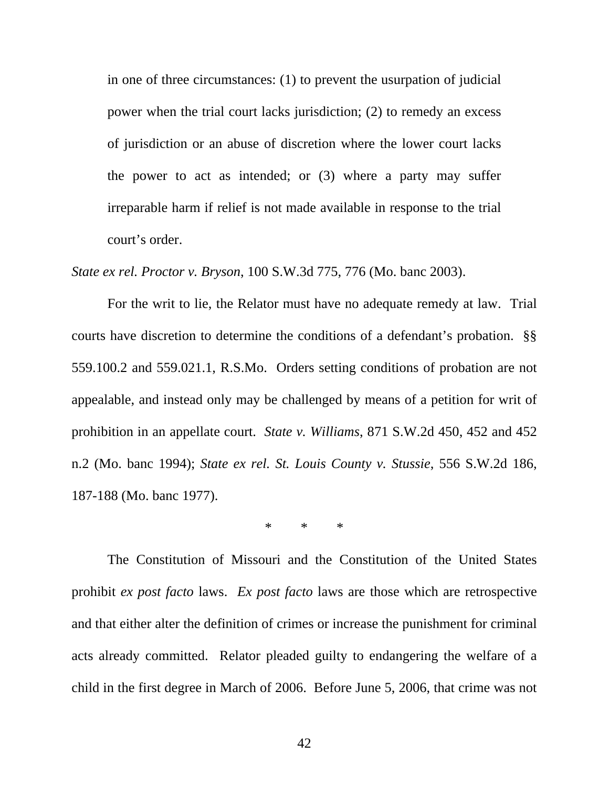in one of three circumstances: (1) to prevent the usurpation of judicial power when the trial court lacks jurisdiction; (2) to remedy an excess of jurisdiction or an abuse of discretion where the lower court lacks the power to act as intended; or (3) where a party may suffer irreparable harm if relief is not made available in response to the trial court's order.

*State ex rel. Proctor v. Bryson*, 100 S.W.3d 775, 776 (Mo. banc 2003).

For the writ to lie, the Relator must have no adequate remedy at law. Trial courts have discretion to determine the conditions of a defendant's probation. §§ 559.100.2 and 559.021.1, R.S.Mo. Orders setting conditions of probation are not appealable, and instead only may be challenged by means of a petition for writ of prohibition in an appellate court. *State v. Williams*, 871 S.W.2d 450, 452 and 452 n.2 (Mo. banc 1994); *State ex rel. St. Louis County v. Stussie*, 556 S.W.2d 186, 187-188 (Mo. banc 1977).

\* \* \*

The Constitution of Missouri and the Constitution of the United States prohibit *ex post facto* laws. *Ex post facto* laws are those which are retrospective and that either alter the definition of crimes or increase the punishment for criminal acts already committed. Relator pleaded guilty to endangering the welfare of a child in the first degree in March of 2006. Before June 5, 2006, that crime was not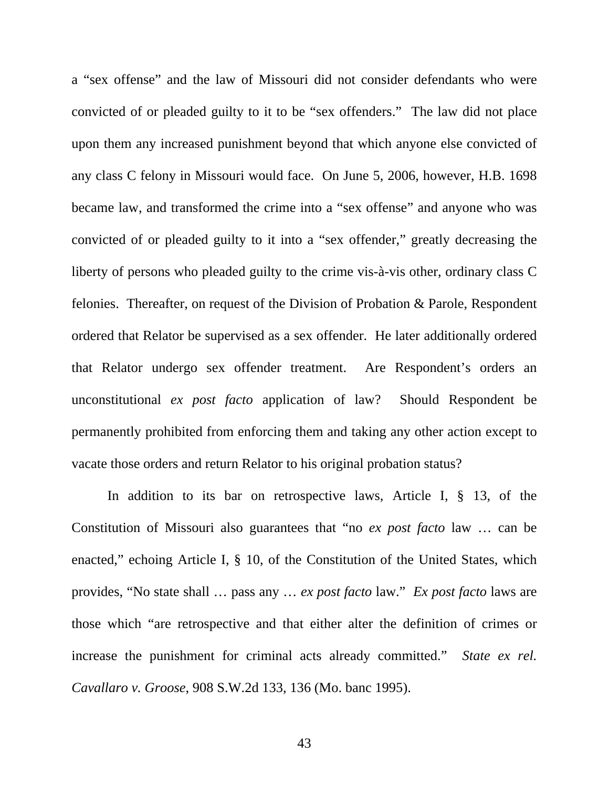a "sex offense" and the law of Missouri did not consider defendants who were convicted of or pleaded guilty to it to be "sex offenders." The law did not place upon them any increased punishment beyond that which anyone else convicted of any class C felony in Missouri would face. On June 5, 2006, however, H.B. 1698 became law, and transformed the crime into a "sex offense" and anyone who was convicted of or pleaded guilty to it into a "sex offender," greatly decreasing the liberty of persons who pleaded guilty to the crime vis-à-vis other, ordinary class C felonies. Thereafter, on request of the Division of Probation & Parole, Respondent ordered that Relator be supervised as a sex offender. He later additionally ordered that Relator undergo sex offender treatment. Are Respondent's orders an unconstitutional *ex post facto* application of law? Should Respondent be permanently prohibited from enforcing them and taking any other action except to vacate those orders and return Relator to his original probation status?

 In addition to its bar on retrospective laws, Article I, § 13, of the Constitution of Missouri also guarantees that "no *ex post facto* law … can be enacted," echoing Article I, § 10, of the Constitution of the United States, which provides, "No state shall … pass any … *ex post facto* law." *Ex post facto* laws are those which "are retrospective and that either alter the definition of crimes or increase the punishment for criminal acts already committed." *State ex rel. Cavallaro v. Groose*, 908 S.W.2d 133, 136 (Mo. banc 1995).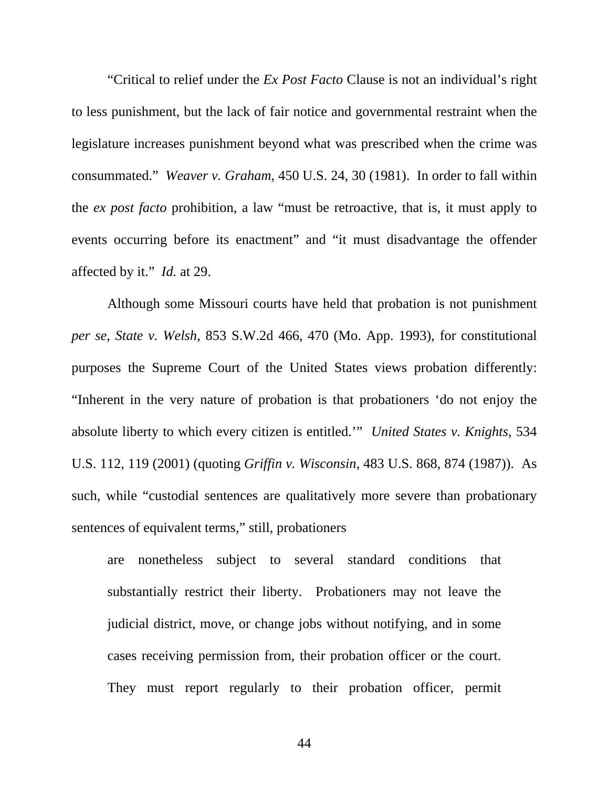"Critical to relief under the *Ex Post Facto* Clause is not an individual's right to less punishment, but the lack of fair notice and governmental restraint when the legislature increases punishment beyond what was prescribed when the crime was consummated." *Weaver v. Graham*, 450 U.S. 24, 30 (1981). In order to fall within the *ex post facto* prohibition, a law "must be retroactive, that is, it must apply to events occurring before its enactment" and "it must disadvantage the offender affected by it." *Id.* at 29.

Although some Missouri courts have held that probation is not punishment *per se*, *State v. Welsh*, 853 S.W.2d 466, 470 (Mo. App. 1993), for constitutional purposes the Supreme Court of the United States views probation differently: "Inherent in the very nature of probation is that probationers 'do not enjoy the absolute liberty to which every citizen is entitled.'" *United States v. Knights*, 534 U.S. 112, 119 (2001) (quoting *Griffin v. Wisconsin*, 483 U.S. 868, 874 (1987)). As such, while "custodial sentences are qualitatively more severe than probationary sentences of equivalent terms," still, probationers

are nonetheless subject to several standard conditions that substantially restrict their liberty. Probationers may not leave the judicial district, move, or change jobs without notifying, and in some cases receiving permission from, their probation officer or the court. They must report regularly to their probation officer, permit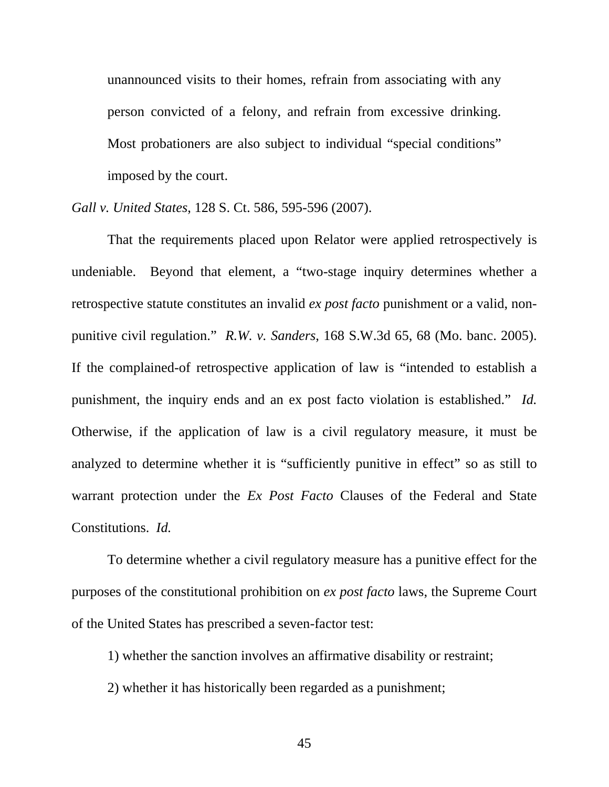unannounced visits to their homes, refrain from associating with any person convicted of a felony, and refrain from excessive drinking. Most probationers are also subject to individual "special conditions" imposed by the court.

*Gall v. United States*, 128 S. Ct. 586, 595-596 (2007).

 That the requirements placed upon Relator were applied retrospectively is undeniable. Beyond that element, a "two-stage inquiry determines whether a retrospective statute constitutes an invalid *ex post facto* punishment or a valid, nonpunitive civil regulation." *R.W. v. Sanders*, 168 S.W.3d 65, 68 (Mo. banc. 2005). If the complained-of retrospective application of law is "intended to establish a punishment, the inquiry ends and an ex post facto violation is established." *Id.* Otherwise, if the application of law is a civil regulatory measure, it must be analyzed to determine whether it is "sufficiently punitive in effect" so as still to warrant protection under the *Ex Post Facto* Clauses of the Federal and State Constitutions. *Id.*

To determine whether a civil regulatory measure has a punitive effect for the purposes of the constitutional prohibition on *ex post facto* laws, the Supreme Court of the United States has prescribed a seven-factor test:

1) whether the sanction involves an affirmative disability or restraint;

2) whether it has historically been regarded as a punishment;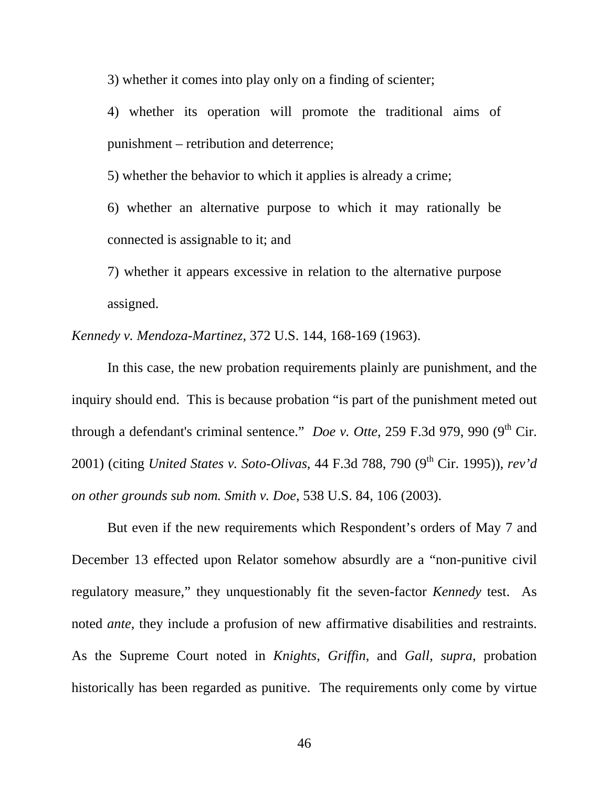3) whether it comes into play only on a finding of scienter;

4) whether its operation will promote the traditional aims of punishment – retribution and deterrence;

5) whether the behavior to which it applies is already a crime;

6) whether an alternative purpose to which it may rationally be connected is assignable to it; and

7) whether it appears excessive in relation to the alternative purpose assigned.

*Kennedy v. Mendoza-Martinez*, 372 U.S. 144, 168-169 (1963).

 In this case, the new probation requirements plainly are punishment, and the inquiry should end. This is because probation "is part of the punishment meted out through a defendant's criminal sentence." *Doe v. Otte*, 259 F.3d 979, 990 (9<sup>th</sup> Cir. 2001) (citing *United States v. Soto-Olivas*, 44 F.3d 788, 790 (9<sup>th</sup> Cir. 1995)), *rev'd on other grounds sub nom. Smith v. Doe*, 538 U.S. 84, 106 (2003).

But even if the new requirements which Respondent's orders of May 7 and December 13 effected upon Relator somehow absurdly are a "non-punitive civil regulatory measure," they unquestionably fit the seven-factor *Kennedy* test. As noted *ante*, they include a profusion of new affirmative disabilities and restraints. As the Supreme Court noted in *Knights*, *Griffin*, and *Gall*, *supra*, probation historically has been regarded as punitive. The requirements only come by virtue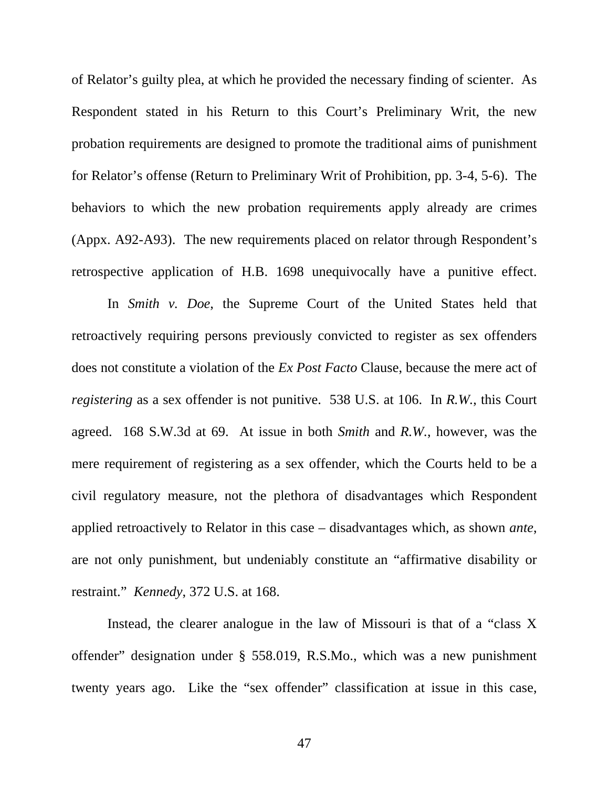of Relator's guilty plea, at which he provided the necessary finding of scienter. As Respondent stated in his Return to this Court's Preliminary Writ, the new probation requirements are designed to promote the traditional aims of punishment for Relator's offense (Return to Preliminary Writ of Prohibition, pp. 3-4, 5-6). The behaviors to which the new probation requirements apply already are crimes (Appx. A92-A93). The new requirements placed on relator through Respondent's retrospective application of H.B. 1698 unequivocally have a punitive effect.

 In *Smith v. Doe*, the Supreme Court of the United States held that retroactively requiring persons previously convicted to register as sex offenders does not constitute a violation of the *Ex Post Facto* Clause, because the mere act of *registering* as a sex offender is not punitive. 538 U.S. at 106. In *R.W.*, this Court agreed. 168 S.W.3d at 69. At issue in both *Smith* and *R.W.*, however, was the mere requirement of registering as a sex offender, which the Courts held to be a civil regulatory measure, not the plethora of disadvantages which Respondent applied retroactively to Relator in this case – disadvantages which, as shown *ante*, are not only punishment, but undeniably constitute an "affirmative disability or restraint." *Kennedy*, 372 U.S. at 168.

Instead, the clearer analogue in the law of Missouri is that of a "class X offender" designation under § 558.019, R.S.Mo., which was a new punishment twenty years ago. Like the "sex offender" classification at issue in this case,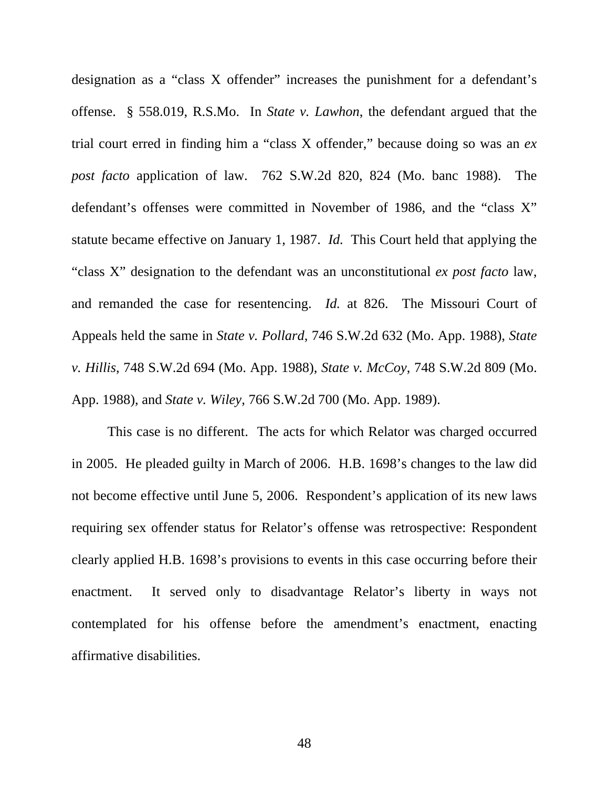designation as a "class X offender" increases the punishment for a defendant's offense. § 558.019, R.S.Mo. In *State v. Lawhon*, the defendant argued that the trial court erred in finding him a "class X offender," because doing so was an *ex post facto* application of law. 762 S.W.2d 820, 824 (Mo. banc 1988). The defendant's offenses were committed in November of 1986, and the "class X" statute became effective on January 1, 1987. *Id.* This Court held that applying the "class X" designation to the defendant was an unconstitutional *ex post facto* law, and remanded the case for resentencing. *Id.* at 826. The Missouri Court of Appeals held the same in *State v. Pollard*, 746 S.W.2d 632 (Mo. App. 1988), *State v. Hillis*, 748 S.W.2d 694 (Mo. App. 1988), *State v. McCoy*, 748 S.W.2d 809 (Mo. App. 1988), and *State v. Wiley*, 766 S.W.2d 700 (Mo. App. 1989).

This case is no different. The acts for which Relator was charged occurred in 2005. He pleaded guilty in March of 2006. H.B. 1698's changes to the law did not become effective until June 5, 2006. Respondent's application of its new laws requiring sex offender status for Relator's offense was retrospective: Respondent clearly applied H.B. 1698's provisions to events in this case occurring before their enactment. It served only to disadvantage Relator's liberty in ways not contemplated for his offense before the amendment's enactment, enacting affirmative disabilities.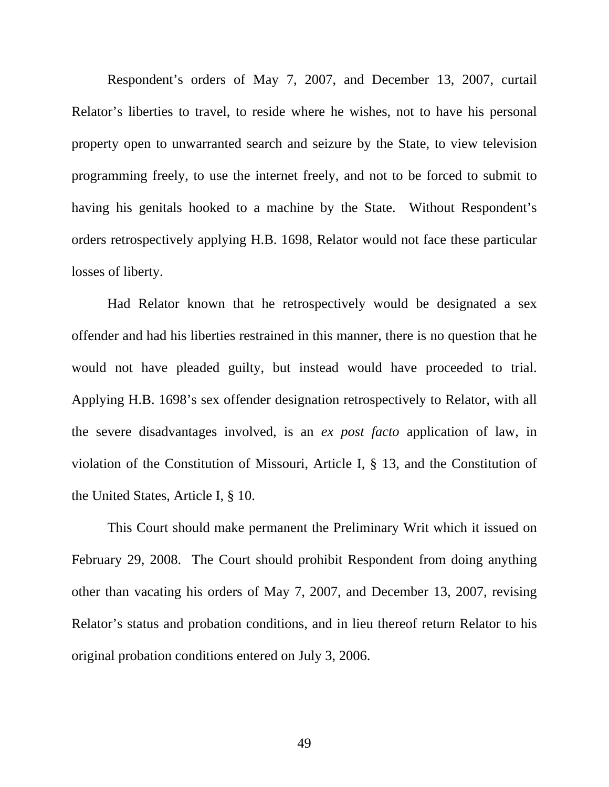Respondent's orders of May 7, 2007, and December 13, 2007, curtail Relator's liberties to travel, to reside where he wishes, not to have his personal property open to unwarranted search and seizure by the State, to view television programming freely, to use the internet freely, and not to be forced to submit to having his genitals hooked to a machine by the State. Without Respondent's orders retrospectively applying H.B. 1698, Relator would not face these particular losses of liberty.

Had Relator known that he retrospectively would be designated a sex offender and had his liberties restrained in this manner, there is no question that he would not have pleaded guilty, but instead would have proceeded to trial. Applying H.B. 1698's sex offender designation retrospectively to Relator, with all the severe disadvantages involved, is an *ex post facto* application of law, in violation of the Constitution of Missouri, Article I, § 13, and the Constitution of the United States, Article I, § 10.

This Court should make permanent the Preliminary Writ which it issued on February 29, 2008. The Court should prohibit Respondent from doing anything other than vacating his orders of May 7, 2007, and December 13, 2007, revising Relator's status and probation conditions, and in lieu thereof return Relator to his original probation conditions entered on July 3, 2006.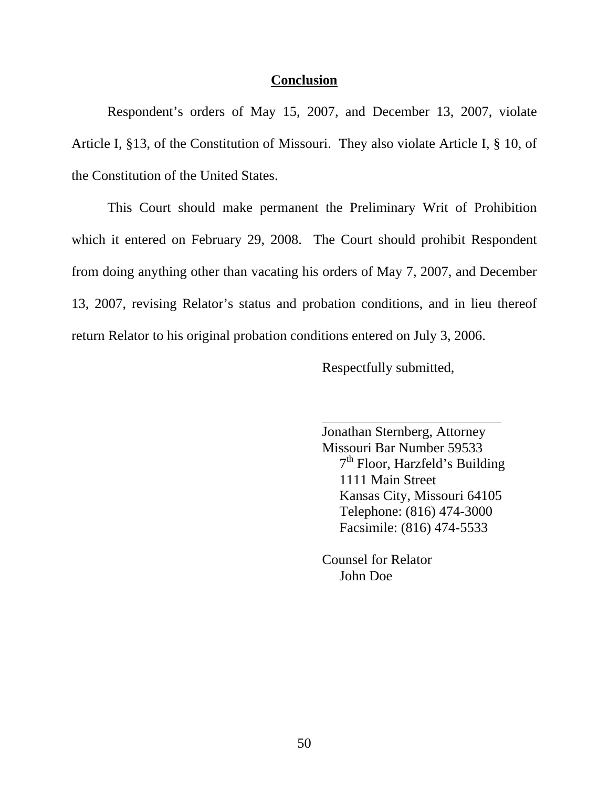### **Conclusion**

 Respondent's orders of May 15, 2007, and December 13, 2007, violate Article I, §13, of the Constitution of Missouri. They also violate Article I, § 10, of the Constitution of the United States.

 This Court should make permanent the Preliminary Writ of Prohibition which it entered on February 29, 2008. The Court should prohibit Respondent from doing anything other than vacating his orders of May 7, 2007, and December 13, 2007, revising Relator's status and probation conditions, and in lieu thereof return Relator to his original probation conditions entered on July 3, 2006.

Respectfully submitted,

 Jonathan Sternberg, Attorney Missouri Bar Number 59533  $7<sup>th</sup>$  Floor, Harzfeld's Building 1111 Main Street Kansas City, Missouri 64105 Telephone: (816) 474-3000 Facsimile: (816) 474-5533

 Counsel for Relator John Doe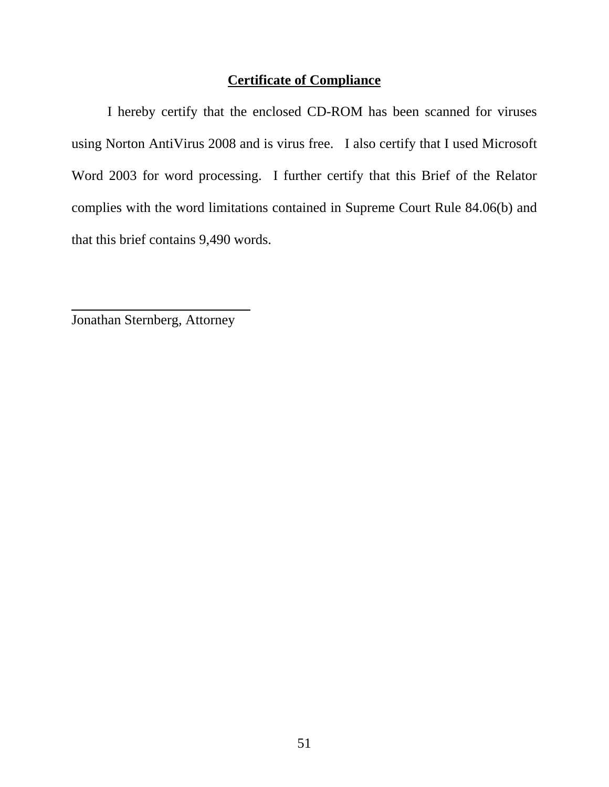## **Certificate of Compliance**

 I hereby certify that the enclosed CD-ROM has been scanned for viruses using Norton AntiVirus 2008 and is virus free. I also certify that I used Microsoft Word 2003 for word processing. I further certify that this Brief of the Relator complies with the word limitations contained in Supreme Court Rule 84.06(b) and that this brief contains 9,490 words.

Jonathan Sternberg, Attorney